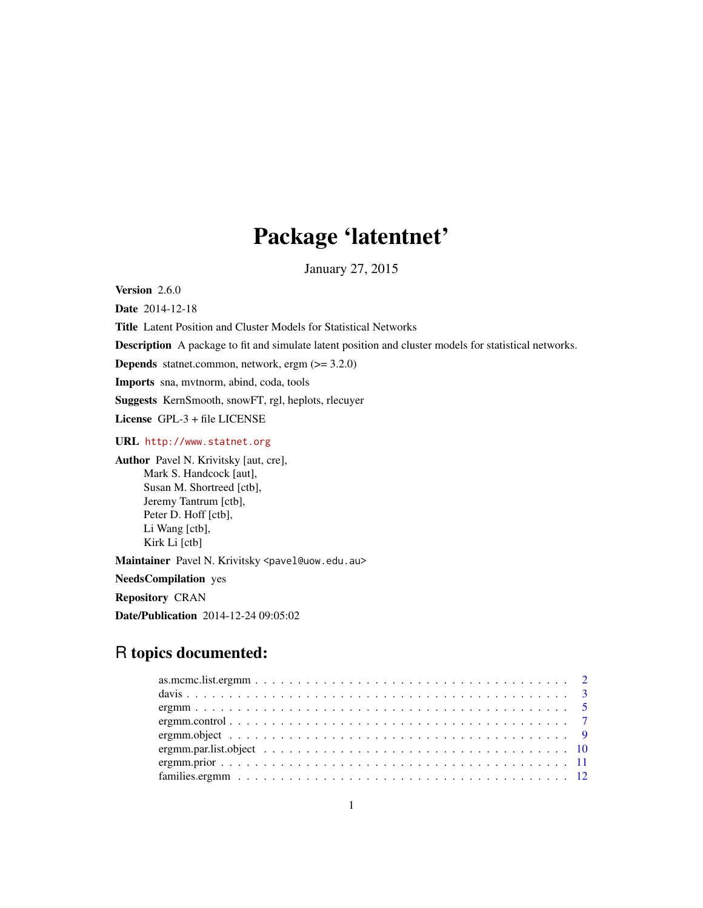## Package 'latentnet'

January 27, 2015

<span id="page-0-0"></span>Version 2.6.0

Date 2014-12-18

Title Latent Position and Cluster Models for Statistical Networks

Description A package to fit and simulate latent position and cluster models for statistical networks.

Depends statnet.common, network, ergm (>= 3.2.0)

Imports sna, mvtnorm, abind, coda, tools

Suggests KernSmooth, snowFT, rgl, heplots, rlecuyer

License GPL-3 + file LICENSE

URL <http://www.statnet.org>

Author Pavel N. Krivitsky [aut, cre], Mark S. Handcock [aut], Susan M. Shortreed [ctb], Jeremy Tantrum [ctb], Peter D. Hoff [ctb], Li Wang [ctb], Kirk Li [ctb]

Maintainer Pavel N. Krivitsky <pavel@uow.edu.au>

NeedsCompilation yes

Repository CRAN

Date/Publication 2014-12-24 09:05:02

### R topics documented: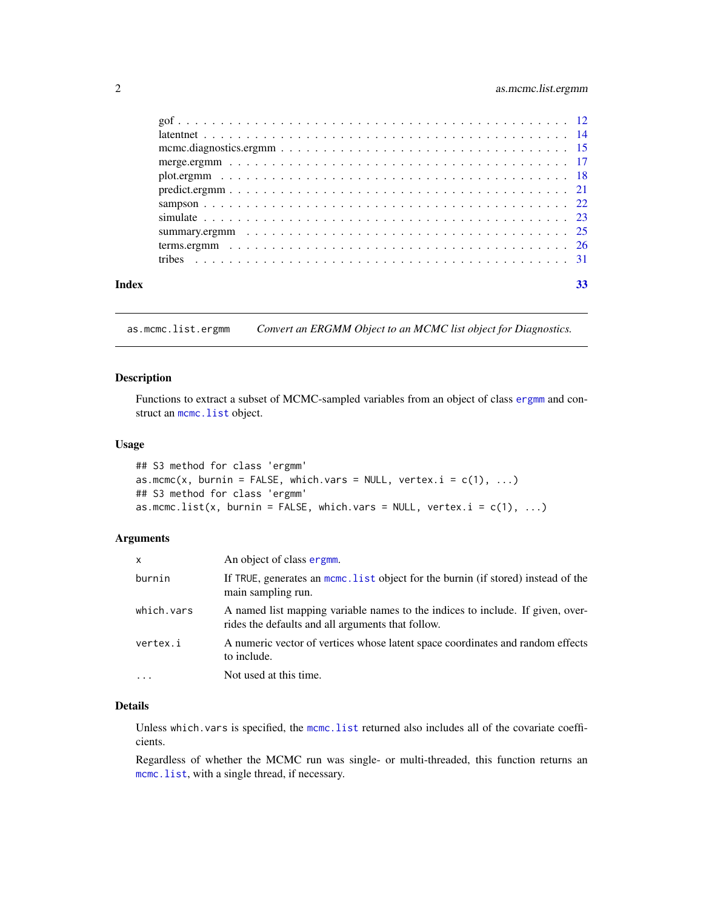#### <span id="page-1-0"></span>2 as.mcmc.list.ergmm

| Index | 33 |
|-------|----|

<span id="page-1-1"></span>as.mcmc.list.ergmm *Convert an ERGMM Object to an MCMC list object for Diagnostics.*

#### Description

Functions to extract a subset of MCMC-sampled variables from an object of class [ergmm](#page-8-1) and construct an mcmc. list object.

#### Usage

```
## S3 method for class 'ergmm'
as.mcmc(x, burnin = FALSE, which.vars = NULL, vertex.i = c(1), ...)
## S3 method for class 'ergmm'
as.mcmc.list(x, burnin = FALSE, which.vars = NULL, vertex.i = c(1), ...)
```
#### Arguments

| X          | An object of class ergmm.                                                                                                           |
|------------|-------------------------------------------------------------------------------------------------------------------------------------|
| burnin     | If TRUE, generates an mcmc. List object for the burnin (if stored) instead of the<br>main sampling run.                             |
| which.vars | A named list mapping variable names to the indices to include. If given, over-<br>rides the defaults and all arguments that follow. |
| vertex.i   | A numeric vector of vertices whose latent space coordinates and random effects<br>to include.                                       |
|            | Not used at this time.                                                                                                              |

#### Details

Unless which.vars is specified, the [mcmc.list](#page-0-0) returned also includes all of the covariate coefficients.

Regardless of whether the MCMC run was single- or multi-threaded, this function returns an [mcmc.list](#page-0-0), with a single thread, if necessary.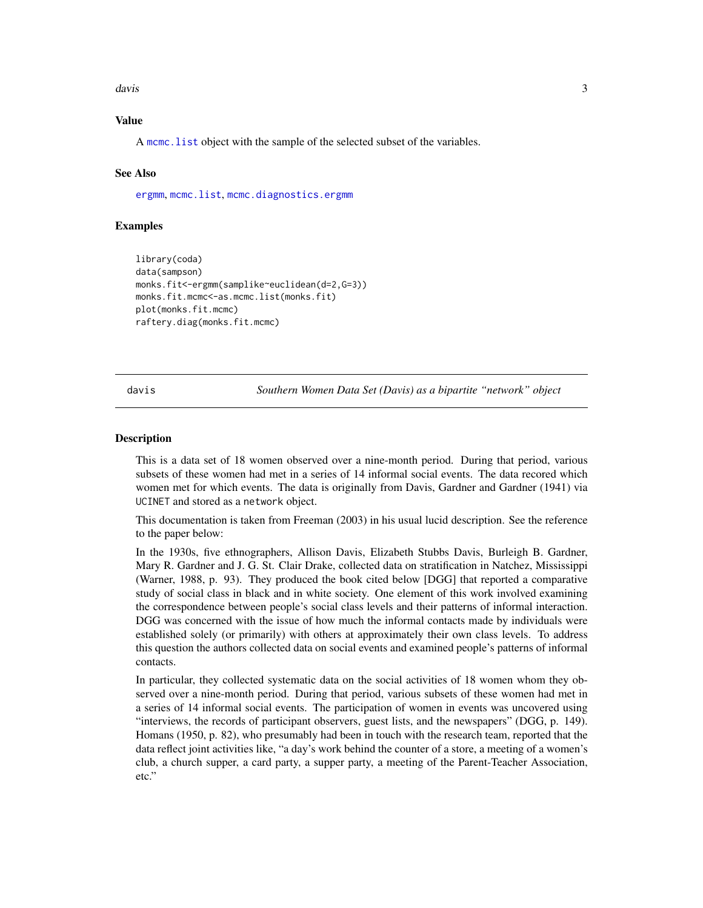<span id="page-2-0"></span>davis 3

#### Value

A [mcmc.list](#page-0-0) object with the sample of the selected subset of the variables.

#### See Also

[ergmm](#page-4-1), [mcmc.list](#page-0-0), [mcmc.diagnostics.ergmm](#page-14-1)

#### Examples

```
library(coda)
data(sampson)
monks.fit<-ergmm(samplike~euclidean(d=2,G=3))
monks.fit.mcmc<-as.mcmc.list(monks.fit)
plot(monks.fit.mcmc)
raftery.diag(monks.fit.mcmc)
```
davis *Southern Women Data Set (Davis) as a bipartite "network" object*

#### Description

This is a data set of 18 women observed over a nine-month period. During that period, various subsets of these women had met in a series of 14 informal social events. The data recored which women met for which events. The data is originally from Davis, Gardner and Gardner (1941) via UCINET and stored as a network object.

This documentation is taken from Freeman (2003) in his usual lucid description. See the reference to the paper below:

In the 1930s, five ethnographers, Allison Davis, Elizabeth Stubbs Davis, Burleigh B. Gardner, Mary R. Gardner and J. G. St. Clair Drake, collected data on stratification in Natchez, Mississippi (Warner, 1988, p. 93). They produced the book cited below [DGG] that reported a comparative study of social class in black and in white society. One element of this work involved examining the correspondence between people's social class levels and their patterns of informal interaction. DGG was concerned with the issue of how much the informal contacts made by individuals were established solely (or primarily) with others at approximately their own class levels. To address this question the authors collected data on social events and examined people's patterns of informal contacts.

In particular, they collected systematic data on the social activities of 18 women whom they observed over a nine-month period. During that period, various subsets of these women had met in a series of 14 informal social events. The participation of women in events was uncovered using "interviews, the records of participant observers, guest lists, and the newspapers" (DGG, p. 149). Homans (1950, p. 82), who presumably had been in touch with the research team, reported that the data reflect joint activities like, "a day's work behind the counter of a store, a meeting of a women's club, a church supper, a card party, a supper party, a meeting of the Parent-Teacher Association, etc."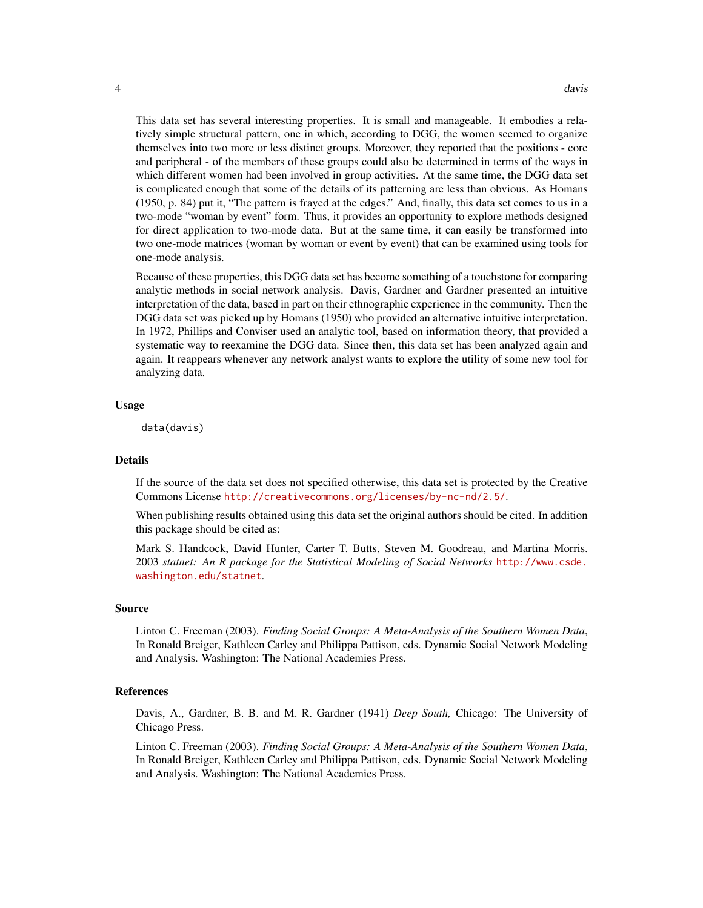This data set has several interesting properties. It is small and manageable. It embodies a relatively simple structural pattern, one in which, according to DGG, the women seemed to organize themselves into two more or less distinct groups. Moreover, they reported that the positions - core and peripheral - of the members of these groups could also be determined in terms of the ways in which different women had been involved in group activities. At the same time, the DGG data set is complicated enough that some of the details of its patterning are less than obvious. As Homans (1950, p. 84) put it, "The pattern is frayed at the edges." And, finally, this data set comes to us in a two-mode "woman by event" form. Thus, it provides an opportunity to explore methods designed for direct application to two-mode data. But at the same time, it can easily be transformed into two one-mode matrices (woman by woman or event by event) that can be examined using tools for one-mode analysis.

Because of these properties, this DGG data set has become something of a touchstone for comparing analytic methods in social network analysis. Davis, Gardner and Gardner presented an intuitive interpretation of the data, based in part on their ethnographic experience in the community. Then the DGG data set was picked up by Homans (1950) who provided an alternative intuitive interpretation. In 1972, Phillips and Conviser used an analytic tool, based on information theory, that provided a systematic way to reexamine the DGG data. Since then, this data set has been analyzed again and again. It reappears whenever any network analyst wants to explore the utility of some new tool for analyzing data.

#### Usage

data(davis)

#### Details

If the source of the data set does not specified otherwise, this data set is protected by the Creative Commons License <http://creativecommons.org/licenses/by-nc-nd/2.5/>.

When publishing results obtained using this data set the original authors should be cited. In addition this package should be cited as:

Mark S. Handcock, David Hunter, Carter T. Butts, Steven M. Goodreau, and Martina Morris. 2003 *statnet: An R package for the Statistical Modeling of Social Networks* [http://www.csde.](http://www.csde.washington.edu/statnet) [washington.edu/statnet](http://www.csde.washington.edu/statnet).

#### Source

Linton C. Freeman (2003). *Finding Social Groups: A Meta-Analysis of the Southern Women Data*, In Ronald Breiger, Kathleen Carley and Philippa Pattison, eds. Dynamic Social Network Modeling and Analysis. Washington: The National Academies Press.

#### References

Davis, A., Gardner, B. B. and M. R. Gardner (1941) *Deep South,* Chicago: The University of Chicago Press.

Linton C. Freeman (2003). *Finding Social Groups: A Meta-Analysis of the Southern Women Data*, In Ronald Breiger, Kathleen Carley and Philippa Pattison, eds. Dynamic Social Network Modeling and Analysis. Washington: The National Academies Press.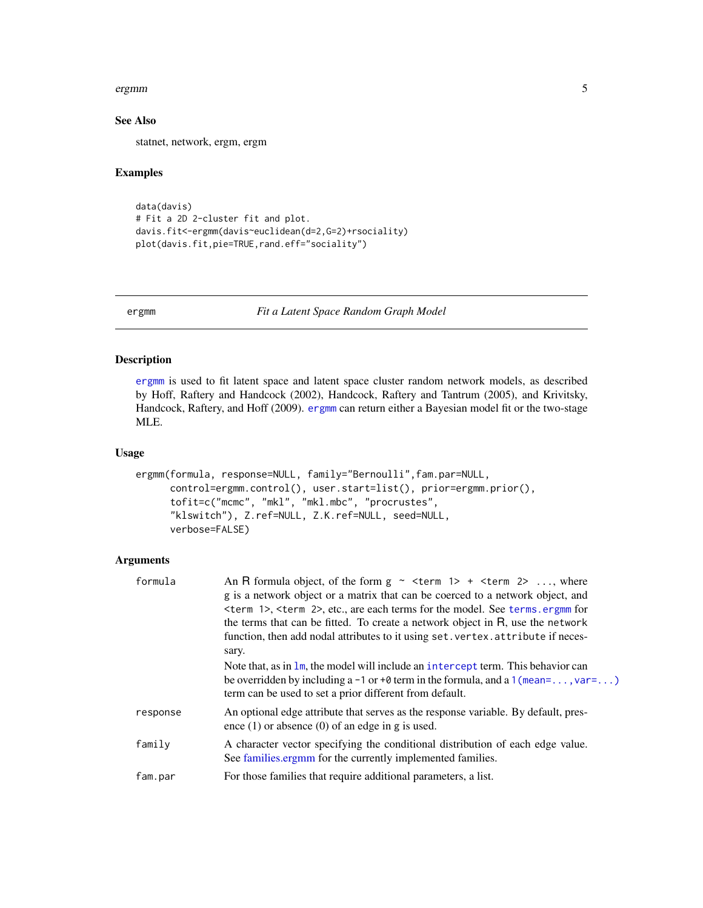#### <span id="page-4-0"></span>ergmm 5

#### See Also

statnet, network, ergm, ergm

#### Examples

```
data(davis)
# Fit a 2D 2-cluster fit and plot.
davis.fit<-ergmm(davis~euclidean(d=2,G=2)+rsociality)
plot(davis.fit,pie=TRUE,rand.eff="sociality")
```
<span id="page-4-1"></span>ergmm *Fit a Latent Space Random Graph Model*

#### Description

[ergmm](#page-4-1) is used to fit latent space and latent space cluster random network models, as described by Hoff, Raftery and Handcock (2002), Handcock, Raftery and Tantrum (2005), and Krivitsky, Handcock, Raftery, and Hoff (2009). [ergmm](#page-4-1) can return either a Bayesian model fit or the two-stage MLE.

#### Usage

```
ergmm(formula, response=NULL, family="Bernoulli",fam.par=NULL,
     control=ergmm.control(), user.start=list(), prior=ergmm.prior(),
     tofit=c("mcmc", "mkl", "mkl.mbc", "procrustes",
      "klswitch"), Z.ref=NULL, Z.K.ref=NULL, seed=NULL,
     verbose=FALSE)
```
#### Arguments

| formula  | An R formula object, of the form $g \sim$ <term 1=""> + <term 2=""> , where</term></term>                                                     |
|----------|-----------------------------------------------------------------------------------------------------------------------------------------------|
|          | g is a network object or a matrix that can be coerced to a network object, and                                                                |
|          | $\epsilon$ <term 1="">, <math>\epsilon</math> term 2&gt;, etc., are each terms for the model. See terms ergmm for</term>                      |
|          | the terms that can be fitted. To create a network object in R, use the network                                                                |
|          | function, then add nodal attributes to it using set. vertex. attribute if neces-                                                              |
|          | sary.                                                                                                                                         |
|          | Note that, as in $\text{Im}$ , the model will include an intercept term. This behavior can                                                    |
|          | be overridden by including a -1 or +0 term in the formula, and a $1$ (mean=, var=)<br>term can be used to set a prior different from default. |
| response | An optional edge attribute that serves as the response variable. By default, pres-<br>ence $(1)$ or absence $(0)$ of an edge in g is used.    |
| family   | A character vector specifying the conditional distribution of each edge value.<br>See families ergmm for the currently implemented families.  |
| fam.par  | For those families that require additional parameters, a list.                                                                                |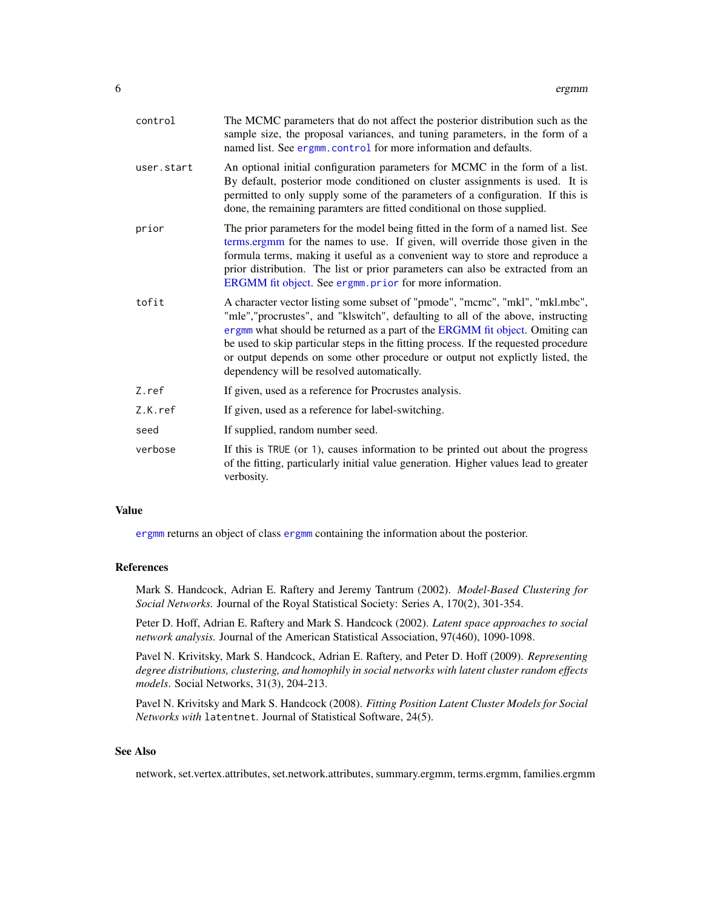<span id="page-5-0"></span>

| control    | The MCMC parameters that do not affect the posterior distribution such as the<br>sample size, the proposal variances, and tuning parameters, in the form of a<br>named list. See ergmm.control for more information and defaults.                                                                                                                                                                                                                                     |
|------------|-----------------------------------------------------------------------------------------------------------------------------------------------------------------------------------------------------------------------------------------------------------------------------------------------------------------------------------------------------------------------------------------------------------------------------------------------------------------------|
| user.start | An optional initial configuration parameters for MCMC in the form of a list.<br>By default, posterior mode conditioned on cluster assignments is used. It is<br>permitted to only supply some of the parameters of a configuration. If this is<br>done, the remaining paramters are fitted conditional on those supplied.                                                                                                                                             |
| prior      | The prior parameters for the model being fitted in the form of a named list. See<br>terms.ergmm for the names to use. If given, will override those given in the<br>formula terms, making it useful as a convenient way to store and reproduce a<br>prior distribution. The list or prior parameters can also be extracted from an<br>ERGMM fit object. See ergmm. prior for more information.                                                                        |
| tofit      | A character vector listing some subset of "pmode", "mcmc", "mkl", "mkl.mbc",<br>"mle","procrustes", and "klswitch", defaulting to all of the above, instructing<br>ergmm what should be returned as a part of the ERGMM fit object. Omiting can<br>be used to skip particular steps in the fitting process. If the requested procedure<br>or output depends on some other procedure or output not explictly listed, the<br>dependency will be resolved automatically. |
| Z.ref      | If given, used as a reference for Procrustes analysis.                                                                                                                                                                                                                                                                                                                                                                                                                |
| Z.K.ref    | If given, used as a reference for label-switching.                                                                                                                                                                                                                                                                                                                                                                                                                    |
| seed       | If supplied, random number seed.                                                                                                                                                                                                                                                                                                                                                                                                                                      |
| verbose    | If this is TRUE (or 1), causes information to be printed out about the progress<br>of the fitting, particularly initial value generation. Higher values lead to greater<br>verbosity.                                                                                                                                                                                                                                                                                 |

#### Value

[ergmm](#page-4-1) returns an object of class [ergmm](#page-8-1) containing the information about the posterior.

#### References

Mark S. Handcock, Adrian E. Raftery and Jeremy Tantrum (2002). *Model-Based Clustering for Social Networks.* Journal of the Royal Statistical Society: Series A, 170(2), 301-354.

Peter D. Hoff, Adrian E. Raftery and Mark S. Handcock (2002). *Latent space approaches to social network analysis.* Journal of the American Statistical Association, 97(460), 1090-1098.

Pavel N. Krivitsky, Mark S. Handcock, Adrian E. Raftery, and Peter D. Hoff (2009). *Representing degree distributions, clustering, and homophily in social networks with latent cluster random effects models*. Social Networks, 31(3), 204-213.

Pavel N. Krivitsky and Mark S. Handcock (2008). *Fitting Position Latent Cluster Models for Social Networks with* latentnet. Journal of Statistical Software, 24(5).

#### See Also

network, set.vertex.attributes, set.network.attributes, summary.ergmm, terms.ergmm, families.ergmm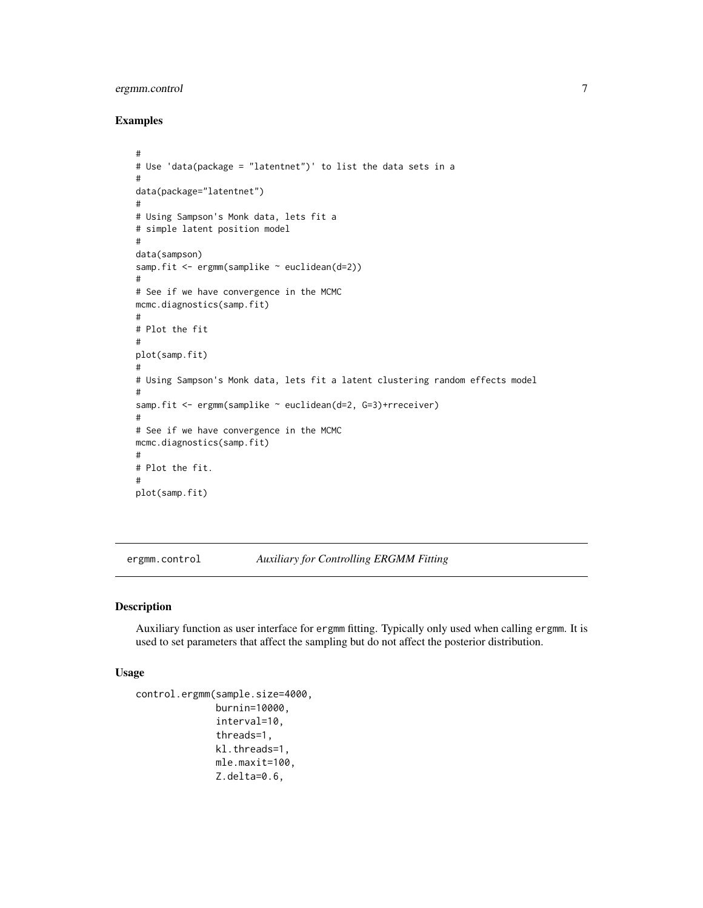#### <span id="page-6-0"></span>ergmm.control 7

#### Examples

```
#
# Use 'data(package = "latentnet")' to list the data sets in a
#
data(package="latentnet")
#
# Using Sampson's Monk data, lets fit a
# simple latent position model
#
data(sampson)
samp.fit <- ergmm(samplike ~ euclidean(d=2))
#
# See if we have convergence in the MCMC
mcmc.diagnostics(samp.fit)
#
# Plot the fit
#
plot(samp.fit)
#
# Using Sampson's Monk data, lets fit a latent clustering random effects model
#
samp.fit <- ergmm(samplike ~ euclidean(d=2, G=3)+rreceiver)
#
# See if we have convergence in the MCMC
mcmc.diagnostics(samp.fit)
#
# Plot the fit.
#
plot(samp.fit)
```
<span id="page-6-1"></span>ergmm.control *Auxiliary for Controlling ERGMM Fitting*

#### Description

Auxiliary function as user interface for ergmm fitting. Typically only used when calling ergmm. It is used to set parameters that affect the sampling but do not affect the posterior distribution.

#### Usage

```
control.ergmm(sample.size=4000,
              burnin=10000,
              interval=10,
              threads=1,
              kl.threads=1,
              mle.maxit=100,
              Z.delta=0.6,
```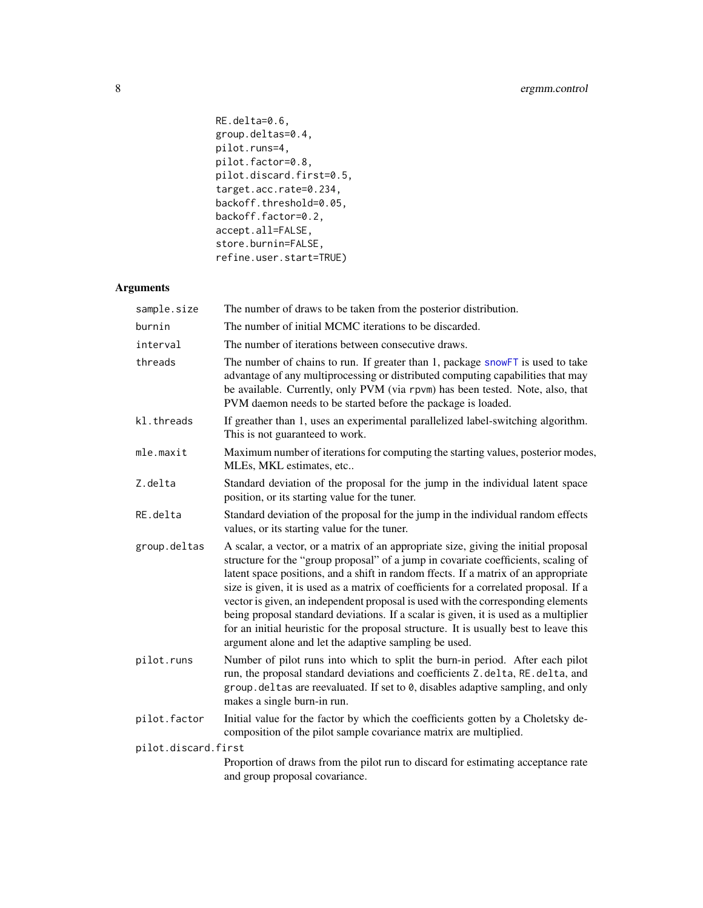```
RE.delta=0.6,
group.deltas=0.4,
pilot.runs=4,
pilot.factor=0.8,
pilot.discard.first=0.5,
target.acc.rate=0.234,
backoff.threshold=0.05,
backoff.factor=0.2,
accept.all=FALSE,
store.burnin=FALSE,
refine.user.start=TRUE)
```
#### Arguments

| sample.size         | The number of draws to be taken from the posterior distribution.                                                                                                                                                                                                                                                                                                                                                                                                                                                                                                                                                                                                                        |  |
|---------------------|-----------------------------------------------------------------------------------------------------------------------------------------------------------------------------------------------------------------------------------------------------------------------------------------------------------------------------------------------------------------------------------------------------------------------------------------------------------------------------------------------------------------------------------------------------------------------------------------------------------------------------------------------------------------------------------------|--|
| burnin              | The number of initial MCMC iterations to be discarded.                                                                                                                                                                                                                                                                                                                                                                                                                                                                                                                                                                                                                                  |  |
| interval            | The number of iterations between consecutive draws.                                                                                                                                                                                                                                                                                                                                                                                                                                                                                                                                                                                                                                     |  |
| threads             | The number of chains to run. If greater than 1, package snowFT is used to take<br>advantage of any multiprocessing or distributed computing capabilities that may<br>be available. Currently, only PVM (via rpvm) has been tested. Note, also, that<br>PVM daemon needs to be started before the package is loaded.                                                                                                                                                                                                                                                                                                                                                                     |  |
| kl.threads          | If greather than 1, uses an experimental parallelized label-switching algorithm.<br>This is not guaranteed to work.                                                                                                                                                                                                                                                                                                                                                                                                                                                                                                                                                                     |  |
| mle.maxit           | Maximum number of iterations for computing the starting values, posterior modes,<br>MLEs, MKL estimates, etc                                                                                                                                                                                                                                                                                                                                                                                                                                                                                                                                                                            |  |
| Z.delta             | Standard deviation of the proposal for the jump in the individual latent space<br>position, or its starting value for the tuner.                                                                                                                                                                                                                                                                                                                                                                                                                                                                                                                                                        |  |
| RE.delta            | Standard deviation of the proposal for the jump in the individual random effects<br>values, or its starting value for the tuner.                                                                                                                                                                                                                                                                                                                                                                                                                                                                                                                                                        |  |
| group.deltas        | A scalar, a vector, or a matrix of an appropriate size, giving the initial proposal<br>structure for the "group proposal" of a jump in covariate coefficients, scaling of<br>latent space positions, and a shift in random ffects. If a matrix of an appropriate<br>size is given, it is used as a matrix of coefficients for a correlated proposal. If a<br>vector is given, an independent proposal is used with the corresponding elements<br>being proposal standard deviations. If a scalar is given, it is used as a multiplier<br>for an initial heuristic for the proposal structure. It is usually best to leave this<br>argument alone and let the adaptive sampling be used. |  |
| pilot.runs          | Number of pilot runs into which to split the burn-in period. After each pilot<br>run, the proposal standard deviations and coefficients Z.delta, RE.delta, and<br>group. deltas are reevaluated. If set to 0, disables adaptive sampling, and only<br>makes a single burn-in run.                                                                                                                                                                                                                                                                                                                                                                                                       |  |
| pilot.factor        | Initial value for the factor by which the coefficients gotten by a Choletsky de-<br>composition of the pilot sample covariance matrix are multiplied.                                                                                                                                                                                                                                                                                                                                                                                                                                                                                                                                   |  |
| pilot.discard.first |                                                                                                                                                                                                                                                                                                                                                                                                                                                                                                                                                                                                                                                                                         |  |
|                     | Proportion of draws from the pilot run to discard for estimating acceptance rate<br>and group proposal covariance.                                                                                                                                                                                                                                                                                                                                                                                                                                                                                                                                                                      |  |
|                     |                                                                                                                                                                                                                                                                                                                                                                                                                                                                                                                                                                                                                                                                                         |  |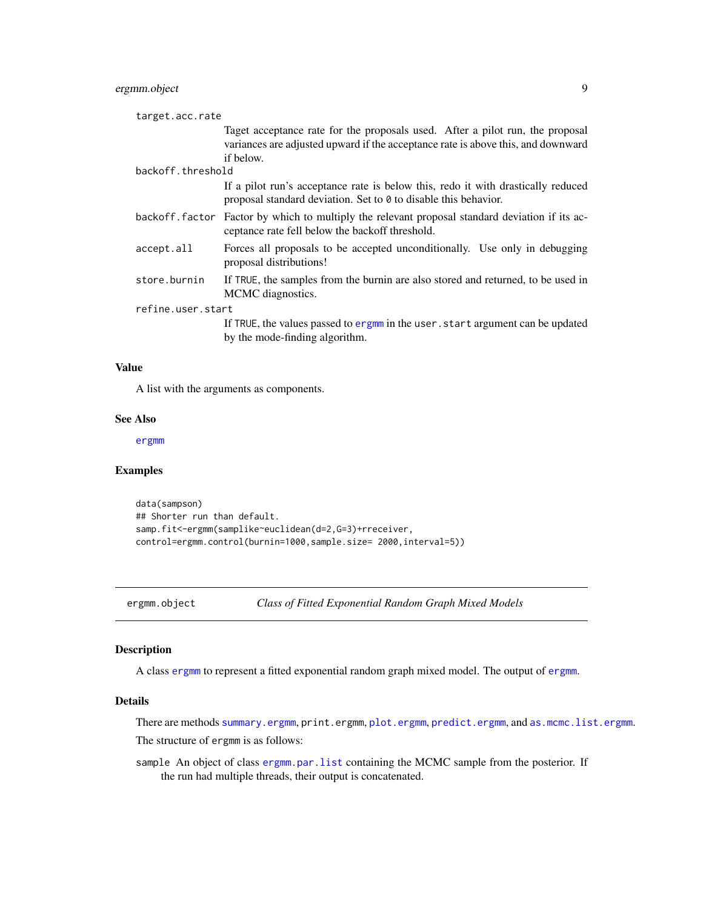#### <span id="page-8-0"></span>ergmm.object 9

| target.acc.rate   |                                                                                                                                                                                |  |
|-------------------|--------------------------------------------------------------------------------------------------------------------------------------------------------------------------------|--|
|                   | Taget acceptance rate for the proposals used. After a pilot run, the proposal<br>variances are adjusted upward if the acceptance rate is above this, and downward<br>if below. |  |
| backoff.threshold |                                                                                                                                                                                |  |
|                   | If a pilot run's acceptance rate is below this, redo it with drastically reduced<br>proposal standard deviation. Set to 0 to disable this behavior.                            |  |
|                   | backoff. factor Factor by which to multiply the relevant proposal standard deviation if its ac-<br>ceptance rate fell below the backoff threshold.                             |  |
| accept.all        | Forces all proposals to be accepted unconditionally. Use only in debugging<br>proposal distributions!                                                                          |  |
| store.burnin      | If TRUE, the samples from the burnin are also stored and returned, to be used in<br>MCMC diagnostics.                                                                          |  |
| refine.user.start |                                                                                                                                                                                |  |
|                   | If TRUE, the values passed to ergmm in the user . start argument can be updated<br>by the mode-finding algorithm.                                                              |  |

#### Value

A list with the arguments as components.

#### See Also

[ergmm](#page-4-1)

#### Examples

```
data(sampson)
## Shorter run than default.
samp.fit<-ergmm(samplike~euclidean(d=2,G=3)+rreceiver,
control=ergmm.control(burnin=1000,sample.size= 2000,interval=5))
```
<span id="page-8-1"></span>ergmm.object *Class of Fitted Exponential Random Graph Mixed Models*

#### Description

A class [ergmm](#page-8-1) to represent a fitted exponential random graph mixed model. The output of [ergmm](#page-4-1).

#### Details

There are methods [summary.ergmm](#page-24-1), print.ergmm, [plot.ergmm](#page-17-1), [predict.ergmm](#page-20-1), and [as.mcmc.list.ergmm](#page-1-1). The structure of ergmm is as follows:

sample An object of class [ergmm.par.list](#page-9-1) containing the MCMC sample from the posterior. If the run had multiple threads, their output is concatenated.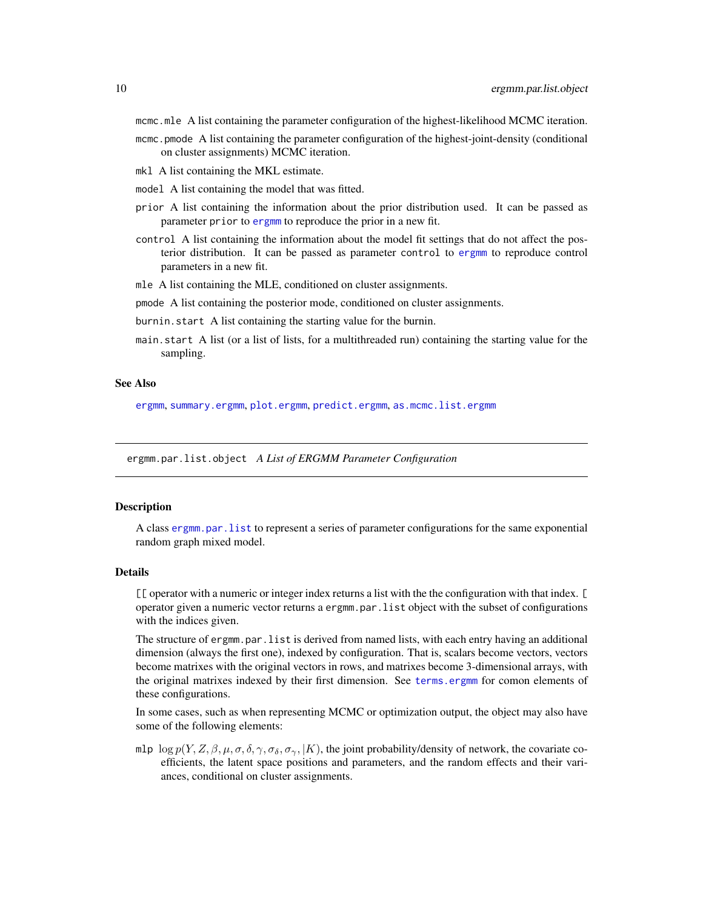- <span id="page-9-0"></span>mcmc.mle A list containing the parameter configuration of the highest-likelihood MCMC iteration.
- mcmc.pmode A list containing the parameter configuration of the highest-joint-density (conditional on cluster assignments) MCMC iteration.
- mkl A list containing the MKL estimate.
- model A list containing the model that was fitted.
- prior A list containing the information about the prior distribution used. It can be passed as parameter prior to [ergmm](#page-4-1) to reproduce the prior in a new fit.
- control A list containing the information about the model fit settings that do not affect the posterior distribution. It can be passed as parameter control to [ergmm](#page-4-1) to reproduce control parameters in a new fit.
- mle A list containing the MLE, conditioned on cluster assignments.
- pmode A list containing the posterior mode, conditioned on cluster assignments.
- burnin.start A list containing the starting value for the burnin.
- main.start A list (or a list of lists, for a multithreaded run) containing the starting value for the sampling.

#### See Also

[ergmm](#page-4-1), [summary.ergmm](#page-24-1), [plot.ergmm](#page-17-1), [predict.ergmm](#page-20-1), [as.mcmc.list.ergmm](#page-1-1)

<span id="page-9-1"></span>ergmm.par.list.object *A List of ERGMM Parameter Configuration*

#### **Description**

A class [ergmm.par.list](#page-9-1) to represent a series of parameter configurations for the same exponential random graph mixed model.

#### Details

[[ operator with a numeric or integer index returns a list with the the configuration with that index. [ operator given a numeric vector returns a ergmm.par.list object with the subset of configurations with the indices given.

The structure of ergmm.par.list is derived from named lists, with each entry having an additional dimension (always the first one), indexed by configuration. That is, scalars become vectors, vectors become matrixes with the original vectors in rows, and matrixes become 3-dimensional arrays, with the original matrixes indexed by their first dimension. See [terms.ergmm](#page-25-1) for comon elements of these configurations.

In some cases, such as when representing MCMC or optimization output, the object may also have some of the following elements:

mlp  $\log p(Y, Z, \beta, \mu, \sigma, \delta, \gamma, \sigma_{\delta}, \sigma_{\gamma}, |K)$ , the joint probability/density of network, the covariate coefficients, the latent space positions and parameters, and the random effects and their variances, conditional on cluster assignments.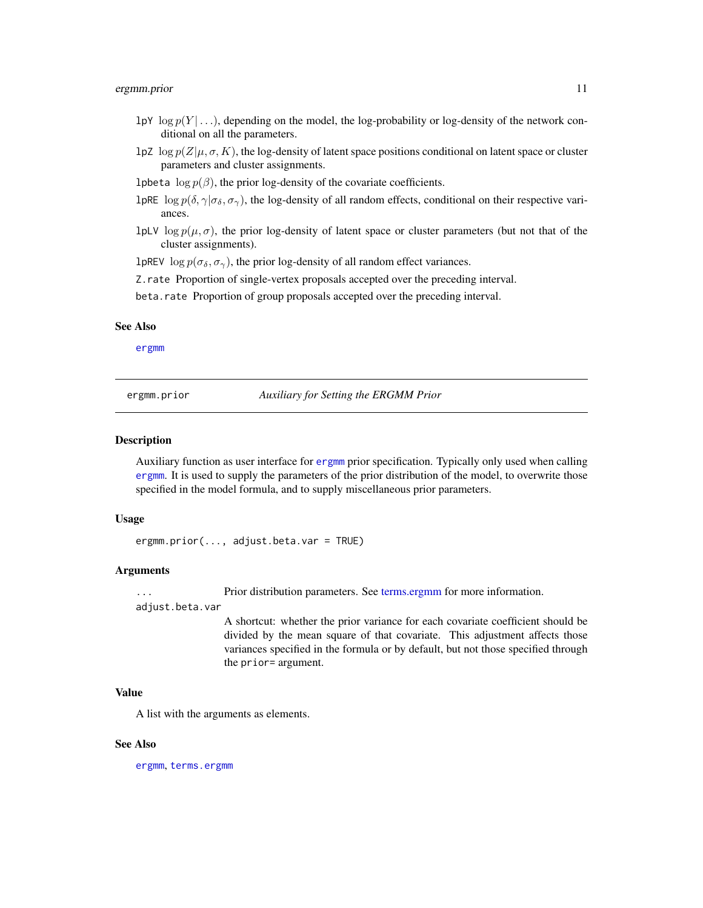#### <span id="page-10-0"></span>ergmm.prior 11

- lpY  $\log p(Y \mid \ldots)$ , depending on the model, the log-probability or log-density of the network conditional on all the parameters.
- lpZ  $\log p(Z|\mu, \sigma, K)$ , the log-density of latent space positions conditional on latent space or cluster parameters and cluster assignments.
- lpbeta  $\log p(\beta)$ , the prior log-density of the covariate coefficients.
- lpRE  $\log p(\delta, \gamma | \sigma_{\delta}, \sigma_{\gamma})$ , the log-density of all random effects, conditional on their respective variances.
- lpLV log  $p(\mu, \sigma)$ , the prior log-density of latent space or cluster parameters (but not that of the cluster assignments).

lpREV  $\log p(\sigma_{\delta}, \sigma_{\gamma})$ , the prior log-density of all random effect variances.

Z.rate Proportion of single-vertex proposals accepted over the preceding interval.

beta.rate Proportion of group proposals accepted over the preceding interval.

#### See Also

[ergmm](#page-4-1)

<span id="page-10-1"></span>ergmm.prior *Auxiliary for Setting the ERGMM Prior*

#### Description

Auxiliary function as user interface for [ergmm](#page-4-1) prior specification. Typically only used when calling [ergmm](#page-4-1). It is used to supply the parameters of the prior distribution of the model, to overwrite those specified in the model formula, and to supply miscellaneous prior parameters.

#### Usage

```
ergmm.prior(..., adjust.beta.var = TRUE)
```
#### Arguments

... Prior distribution parameters. See [terms.ergmm](#page-25-1) for more information.

adjust.beta.var

A shortcut: whether the prior variance for each covariate coefficient should be divided by the mean square of that covariate. This adjustment affects those variances specified in the formula or by default, but not those specified through the prior= argument.

#### Value

A list with the arguments as elements.

#### See Also

[ergmm](#page-4-1), [terms.ergmm](#page-25-1)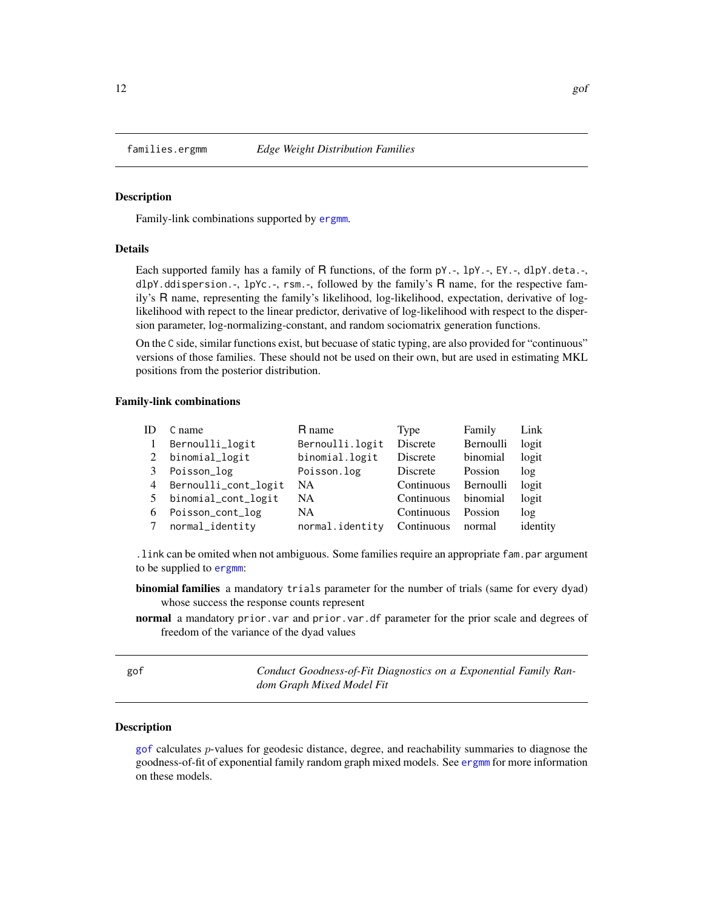<span id="page-11-1"></span><span id="page-11-0"></span>

#### Description

Family-link combinations supported by [ergmm](#page-4-1).

#### **Details**

Each supported family has a family of R functions, of the form  $pY.-, 1pY.-, EY.-, dlpY.$  deta.-, dlpY.ddispersion.-, lpYc.-, rsm.-, followed by the family's R name, for the respective family's R name, representing the family's likelihood, log-likelihood, expectation, derivative of loglikelihood with repect to the linear predictor, derivative of log-likelihood with respect to the dispersion parameter, log-normalizing-constant, and random sociomatrix generation functions.

On the C side, similar functions exist, but becuase of static typing, are also provided for "continuous" versions of those families. These should not be used on their own, but are used in estimating MKL positions from the posterior distribution.

#### Family-link combinations

| ID             | C name               | R name          | Type       | Family    | Link     |
|----------------|----------------------|-----------------|------------|-----------|----------|
| $\overline{1}$ | Bernoulli_logit      | Bernoulli.logit | Discrete   | Bernoulli | logit    |
| 2              | binomial_logit       | binomial.logit  | Discrete   | binomial  | logit    |
| 3              | Poisson_log          | Poisson.log     | Discrete   | Possion   | log      |
| 4              | Bernoulli_cont_logit | <b>NA</b>       | Continuous | Bernoulli | logit    |
| 5              | binomial_cont_logit  | NA.             | Continuous | binomial  | logit    |
| 6              | Poisson_cont_log     | <b>NA</b>       | Continuous | Possion   | log      |
| 7              | normal_identity      | normal.identity | Continuous | normal    | identity |

.link can be omited when not ambiguous. Some families require an appropriate fam.par argument to be supplied to [ergmm](#page-4-1):

binomial families a mandatory trials parameter for the number of trials (same for every dyad) whose success the response counts represent

normal a mandatory prior.var and prior.var.df parameter for the prior scale and degrees of freedom of the variance of the dyad values

<span id="page-11-2"></span>gof *Conduct Goodness-of-Fit Diagnostics on a Exponential Family Random Graph Mixed Model Fit*

#### <span id="page-11-3"></span>Description

[gof](#page-11-2) calculates p-values for geodesic distance, degree, and reachability summaries to diagnose the goodness-of-fit of exponential family random graph mixed models. See [ergmm](#page-4-1) for more information on these models.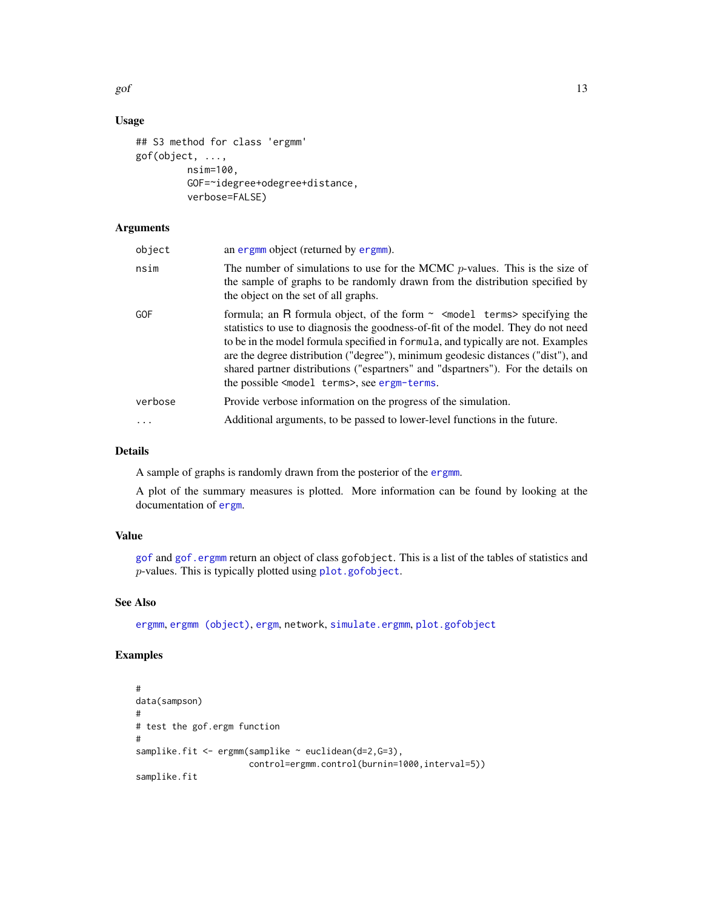<span id="page-12-0"></span>gof  $\qquad \qquad$  13

#### Usage

```
## S3 method for class 'ergmm'
gof(object, ...,
         nsim=100,
         GOF=~idegree+odegree+distance,
         verbose=FALSE)
```
#### Arguments

| object   | an ergmm object (returned by ergmm).                                                                                                                                                                                                                                                                                                                                                                                                                                                                     |
|----------|----------------------------------------------------------------------------------------------------------------------------------------------------------------------------------------------------------------------------------------------------------------------------------------------------------------------------------------------------------------------------------------------------------------------------------------------------------------------------------------------------------|
| nsim     | The number of simulations to use for the MCMC $p$ -values. This is the size of<br>the sample of graphs to be randomly drawn from the distribution specified by<br>the object on the set of all graphs.                                                                                                                                                                                                                                                                                                   |
| GOF      | formula; an R formula object, of the form $\sim$ <model terms=""> specifying the<br/>statistics to use to diagnosis the goodness-of-fit of the model. They do not need<br/>to be in the model formula specified in formula, and typically are not. Examples<br/>are the degree distribution ("degree"), minimum geodesic distances ("dist"), and<br/>shared partner distributions ("espartners" and "dspartners"). For the details on<br/>the possible <model terms="">, see ergm-terms.</model></model> |
| verbose  | Provide verbose information on the progress of the simulation.                                                                                                                                                                                                                                                                                                                                                                                                                                           |
| $\ddots$ | Additional arguments, to be passed to lower-level functions in the future.                                                                                                                                                                                                                                                                                                                                                                                                                               |

#### Details

A sample of graphs is randomly drawn from the posterior of the [ergmm](#page-4-1).

A plot of the summary measures is plotted. More information can be found by looking at the documentation of [ergm](#page-0-0).

#### Value

[gof](#page-11-2) and [gof.ergmm](#page-11-3) return an object of class gofobject. This is a list of the tables of statistics and p-values. This is typically plotted using [plot.gofobject](#page-0-0).

#### See Also

[ergmm](#page-4-1), [ergmm \(object\)](#page-8-1), [ergm](#page-0-0), network, [simulate.ergmm](#page-22-1), [plot.gofobject](#page-0-0)

#### Examples

```
#
data(sampson)
#
# test the gof.ergm function
#
samplike.fit <- ergmm(samplike ~ euclidean(d=2,G=3),
                      control=ergmm.control(burnin=1000,interval=5))
samplike.fit
```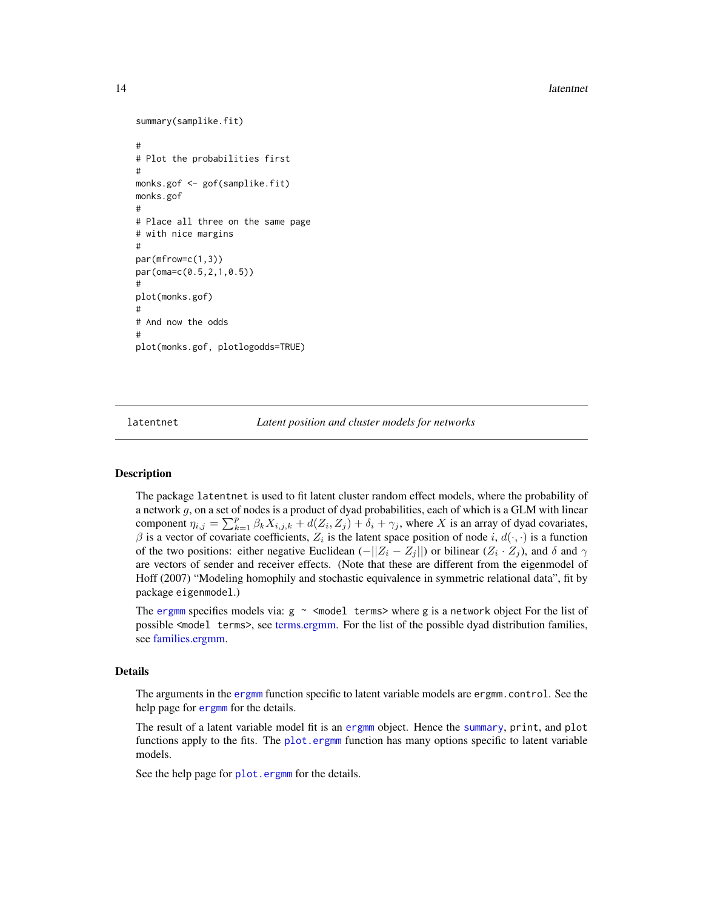<span id="page-13-0"></span>14 latentnet and the set of the set of the set of the set of the set of the set of the set of the set of the set of the set of the set of the set of the set of the set of the set of the set of the set of the set of the set

```
summary(samplike.fit)
#
# Plot the probabilities first
#
monks.gof <- gof(samplike.fit)
monks.gof
#
# Place all three on the same page
# with nice margins
#
par(mfrow=c(1,3))
par(oma=c(0.5,2,1,0.5))
#
plot(monks.gof)
#
# And now the odds
#
plot(monks.gof, plotlogodds=TRUE)
```
<span id="page-13-1"></span>

latentnet *Latent position and cluster models for networks*

#### Description

The package latentnet is used to fit latent cluster random effect models, where the probability of a network  $g$ , on a set of nodes is a product of dyad probabilities, each of which is a GLM with linear component  $\eta_{i,j} = \sum_{k=1}^p \beta_k X_{i,j,k} + d(Z_i, Z_j) + \delta_i + \gamma_j$ , where X is an array of dyad covariates,  $\beta$  is a vector of covariate coefficients,  $Z_i$  is the latent space position of node i,  $d(\cdot, \cdot)$  is a function of the two positions: either negative Euclidean  $(-||Z_i - Z_j||)$  or bilinear  $(Z_i \cdot Z_j)$ , and  $\delta$  and  $\gamma$ are vectors of sender and receiver effects. (Note that these are different from the eigenmodel of Hoff (2007) "Modeling homophily and stochastic equivalence in symmetric relational data", fit by package eigenmodel.)

The [ergmm](#page-4-1) specifies models via:  $g \sim$  <model terms> where g is a network object For the list of possible <model terms>, see [terms.ergmm.](#page-25-1) For the list of the possible dyad distribution families, see [families.ergmm.](#page-11-1)

#### Details

The arguments in the [ergmm](#page-4-1) function specific to latent variable models are ergmm.control. See the help page for [ergmm](#page-4-1) for the details.

The result of a latent variable model fit is an [ergmm](#page-4-1) object. Hence the [summary](#page-0-0), print, and plot functions apply to the fits. The [plot.ergmm](#page-17-1) function has many options specific to latent variable models.

See the help page for [plot.ergmm](#page-17-1) for the details.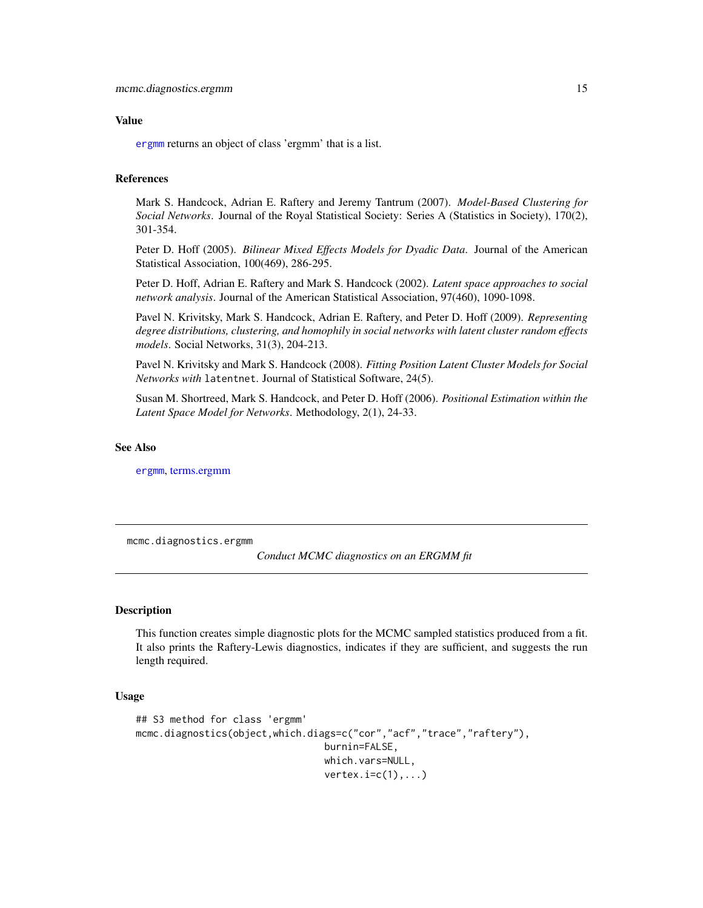#### <span id="page-14-0"></span>Value

[ergmm](#page-4-1) returns an object of class 'ergmm' that is a list.

#### References

Mark S. Handcock, Adrian E. Raftery and Jeremy Tantrum (2007). *Model-Based Clustering for Social Networks*. Journal of the Royal Statistical Society: Series A (Statistics in Society), 170(2), 301-354.

Peter D. Hoff (2005). *Bilinear Mixed Effects Models for Dyadic Data*. Journal of the American Statistical Association, 100(469), 286-295.

Peter D. Hoff, Adrian E. Raftery and Mark S. Handcock (2002). *Latent space approaches to social network analysis*. Journal of the American Statistical Association, 97(460), 1090-1098.

Pavel N. Krivitsky, Mark S. Handcock, Adrian E. Raftery, and Peter D. Hoff (2009). *Representing degree distributions, clustering, and homophily in social networks with latent cluster random effects models*. Social Networks, 31(3), 204-213.

Pavel N. Krivitsky and Mark S. Handcock (2008). *Fitting Position Latent Cluster Models for Social Networks with* latentnet. Journal of Statistical Software, 24(5).

Susan M. Shortreed, Mark S. Handcock, and Peter D. Hoff (2006). *Positional Estimation within the Latent Space Model for Networks*. Methodology, 2(1), 24-33.

#### See Also

[ergmm](#page-4-1), [terms.ergmm](#page-25-1)

<span id="page-14-1"></span>mcmc.diagnostics.ergmm

*Conduct MCMC diagnostics on an ERGMM fit*

#### **Description**

This function creates simple diagnostic plots for the MCMC sampled statistics produced from a fit. It also prints the Raftery-Lewis diagnostics, indicates if they are sufficient, and suggests the run length required.

#### Usage

```
## S3 method for class 'ergmm'
mcmc.diagnostics(object,which.diags=c("cor","acf","trace","raftery"),
                                 burnin=FALSE,
                                 which.vars=NULL,
                                 vertex.i=c(1),...
```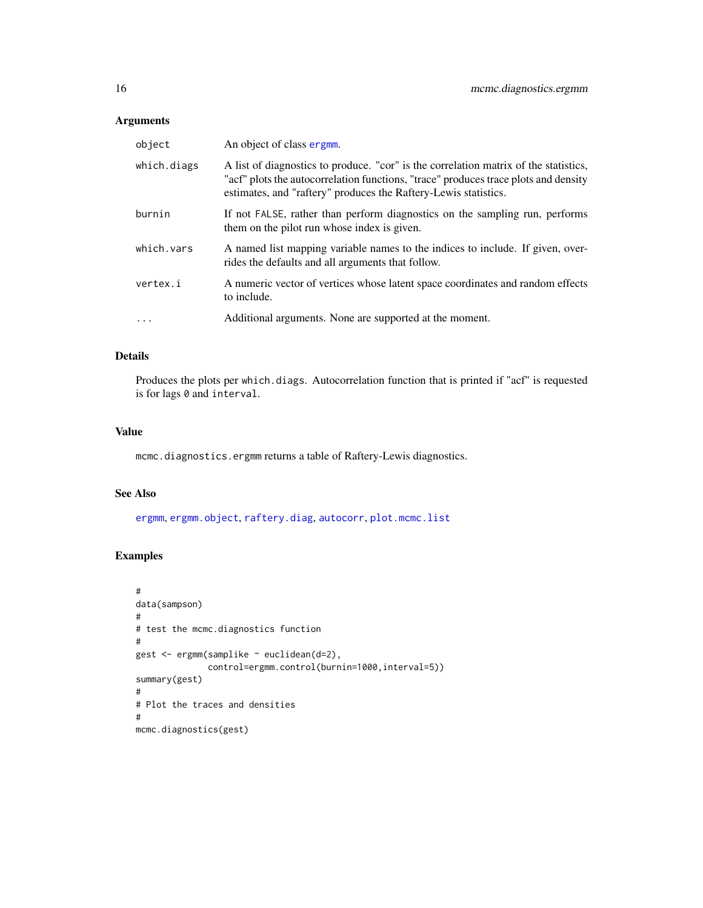#### <span id="page-15-0"></span>Arguments

| object            | An object of class ergmm.                                                                                                                                                                                                                      |
|-------------------|------------------------------------------------------------------------------------------------------------------------------------------------------------------------------------------------------------------------------------------------|
| which.diags       | A list of diagnostics to produce. "cor" is the correlation matrix of the statistics,<br>"acf" plots the autocorrelation functions, "trace" produces trace plots and density<br>estimates, and "raftery" produces the Raftery-Lewis statistics. |
| burnin            | If not FALSE, rather than perform diagnostics on the sampling run, performs<br>them on the pilot run whose index is given.                                                                                                                     |
| which.vars        | A named list mapping variable names to the indices to include. If given, over-<br>rides the defaults and all arguments that follow.                                                                                                            |
| vertex.i          | A numeric vector of vertices whose latent space coordinates and random effects<br>to include.                                                                                                                                                  |
| $\cdot\cdot\cdot$ | Additional arguments. None are supported at the moment.                                                                                                                                                                                        |

#### Details

Produces the plots per which.diags. Autocorrelation function that is printed if "acf" is requested is for lags 0 and interval.

#### Value

mcmc.diagnostics.ergmm returns a table of Raftery-Lewis diagnostics.

#### See Also

[ergmm](#page-4-1), [ergmm.object](#page-8-1), [raftery.diag](#page-0-0), [autocorr](#page-0-0), [plot.mcmc.list](#page-0-0)

#### Examples

```
#
data(sampson)
#
# test the mcmc.diagnostics function
#
gest <- ergmm(samplike ~ euclidean(d=2),
              control=ergmm.control(burnin=1000,interval=5))
summary(gest)
#
# Plot the traces and densities
#
mcmc.diagnostics(gest)
```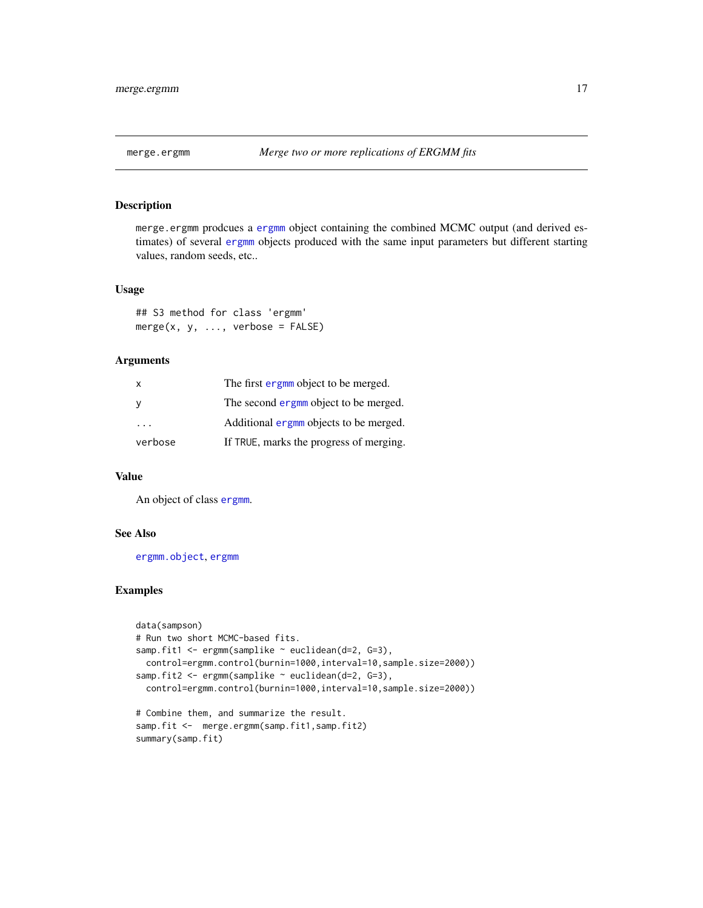<span id="page-16-0"></span>

#### Description

merge.ergmm prodcues a [ergmm](#page-8-1) object containing the combined MCMC output (and derived estimates) of several [ergmm](#page-8-1) objects produced with the same input parameters but different starting values, random seeds, etc..

#### Usage

## S3 method for class 'ergmm'  $merge(x, y, \ldots, verbose = FALSE)$ 

#### Arguments

| X       | The first ergmm object to be merged.    |  |
|---------|-----------------------------------------|--|
| y       | The second ergmm object to be merged.   |  |
| .       | Additional ergmm objects to be merged.  |  |
| verbose | If TRUE, marks the progress of merging. |  |

#### Value

An object of class [ergmm](#page-8-1).

#### See Also

[ergmm.object](#page-8-1), [ergmm](#page-4-1)

#### Examples

```
data(sampson)
# Run two short MCMC-based fits.
samp.fit1 <- ergmm(samplike ~ euclidean(d=2, G=3),
 control=ergmm.control(burnin=1000,interval=10,sample.size=2000))
samp.fit2 <- ergmm(samplike ~ euclidean(d=2, G=3),
 control=ergmm.control(burnin=1000,interval=10,sample.size=2000))
# Combine them, and summarize the result.
samp.fit <- merge.ergmm(samp.fit1,samp.fit2)
summary(samp.fit)
```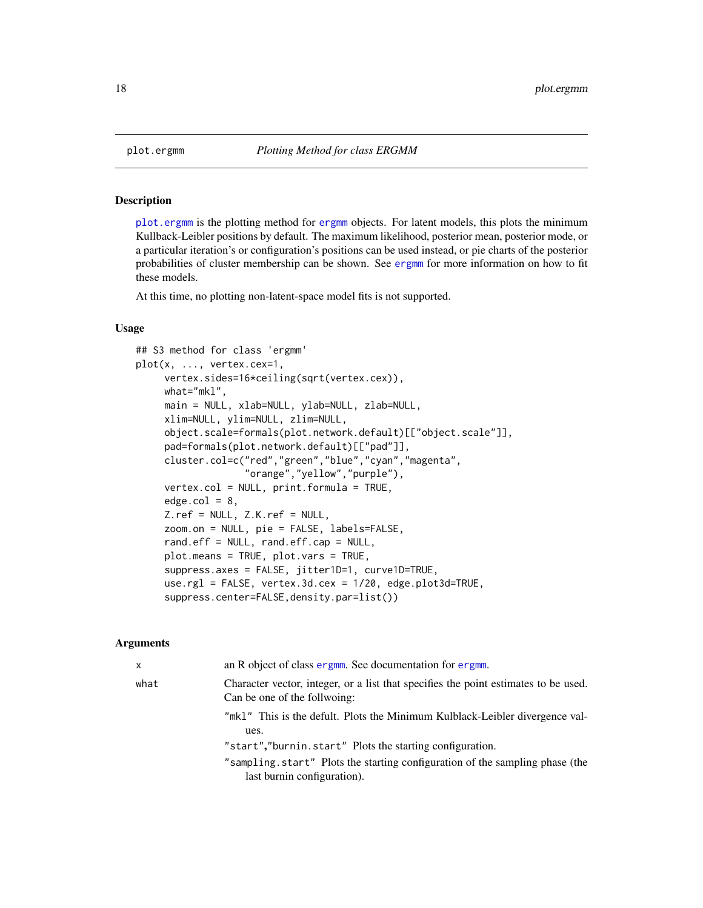#### Description

[plot.ergmm](#page-17-1) is the plotting method for [ergmm](#page-8-1) objects. For latent models, this plots the minimum Kullback-Leibler positions by default. The maximum likelihood, posterior mean, posterior mode, or a particular iteration's or configuration's positions can be used instead, or pie charts of the posterior probabilities of cluster membership can be shown. See [ergmm](#page-4-1) for more information on how to fit these models.

At this time, no plotting non-latent-space model fits is not supported.

#### Usage

```
## S3 method for class 'ergmm'
plot(x, ..., vertex.cex=1,
     vertex.sides=16*ceiling(sqrt(vertex.cex)),
     what="mkl",
     main = NULL, xlab=NULL, ylab=NULL, zlab=NULL,
     xlim=NULL, ylim=NULL, zlim=NULL,
     object.scale=formals(plot.network.default)[["object.scale"]],
     pad=formals(plot.network.default)[["pad"]],
     cluster.col=c("red","green","blue","cyan","magenta",
                   "orange","yellow","purple"),
     vertex.col = NULL, print.formula = TRUE,
     edge.col = 8,
     Z.ref = NULL, Z.K.ref = NULL,
     zoom.on = NULL, pie = FALSE, labels=FALSE,
     rand.eff = NULL, rand.eff.cap = NULL,
     plot.means = TRUE, plot.vars = TRUE,
     suppress.axes = FALSE, jitter1D=1, curve1D=TRUE,
     use.rgl = FALSE, vertex.3d.cex = 1/20, edge.plot3d=TRUE,
     suppress.center=FALSE,density.par=list())
```
#### Arguments

| x    | an R object of class ergmm. See documentation for ergmm.                                                            |
|------|---------------------------------------------------------------------------------------------------------------------|
| what | Character vector, integer, or a list that specifies the point estimates to be used.<br>Can be one of the follwoing: |
|      | "mk1" This is the defult. Plots the Minimum Kulblack-Leibler divergence val-<br>ues.                                |
|      | "start","burnin.start" Plots the starting configuration.                                                            |
|      | "sampling start" Plots the starting configuration of the sampling phase (the<br>last burnin configuration).         |
|      |                                                                                                                     |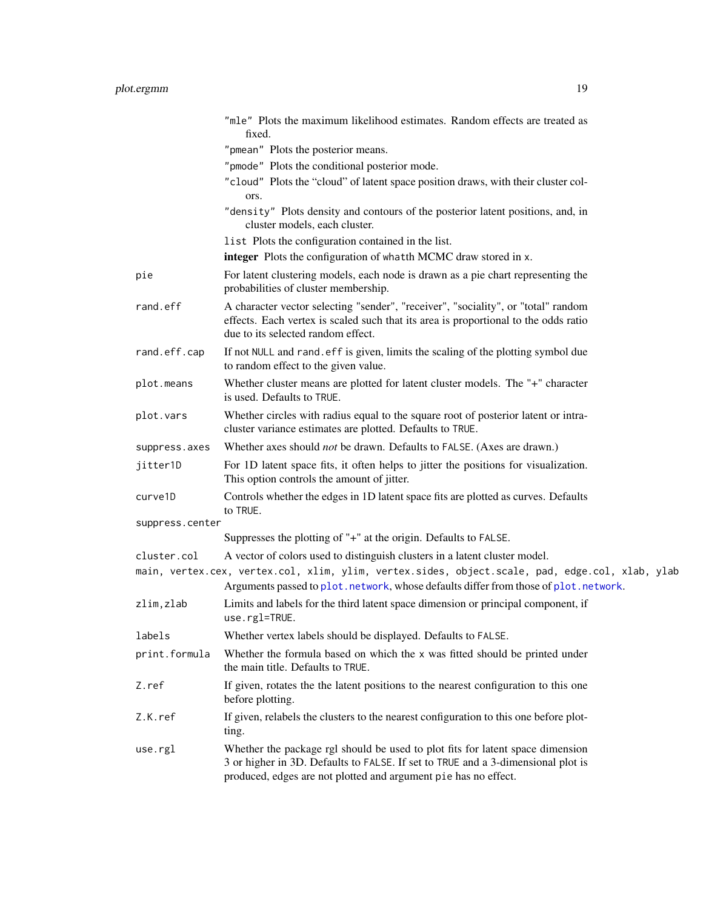<span id="page-18-0"></span>

|                 | "mle" Plots the maximum likelihood estimates. Random effects are treated as<br>fixed.                                                                                                                                                 |
|-----------------|---------------------------------------------------------------------------------------------------------------------------------------------------------------------------------------------------------------------------------------|
|                 | "pmean" Plots the posterior means.                                                                                                                                                                                                    |
|                 | "pmode" Plots the conditional posterior mode.                                                                                                                                                                                         |
|                 | "cloud" Plots the "cloud" of latent space position draws, with their cluster col-<br>ors.                                                                                                                                             |
|                 | "density" Plots density and contours of the posterior latent positions, and, in<br>cluster models, each cluster.                                                                                                                      |
|                 | list Plots the configuration contained in the list.                                                                                                                                                                                   |
|                 | integer Plots the configuration of whatth MCMC draw stored in x.                                                                                                                                                                      |
| pie             | For latent clustering models, each node is drawn as a pie chart representing the<br>probabilities of cluster membership.                                                                                                              |
| rand.eff        | A character vector selecting "sender", "receiver", "sociality", or "total" random<br>effects. Each vertex is scaled such that its area is proportional to the odds ratio<br>due to its selected random effect.                        |
| rand.eff.cap    | If not NULL and rand. eff is given, limits the scaling of the plotting symbol due<br>to random effect to the given value.                                                                                                             |
| plot.means      | Whether cluster means are plotted for latent cluster models. The "+" character<br>is used. Defaults to TRUE.                                                                                                                          |
| plot.vars       | Whether circles with radius equal to the square root of posterior latent or intra-<br>cluster variance estimates are plotted. Defaults to TRUE.                                                                                       |
| suppress.axes   | Whether axes should not be drawn. Defaults to FALSE. (Axes are drawn.)                                                                                                                                                                |
| jitter1D        | For 1D latent space fits, it often helps to jitter the positions for visualization.<br>This option controls the amount of jitter.                                                                                                     |
| curve1D         | Controls whether the edges in 1D latent space fits are plotted as curves. Defaults<br>to TRUE.                                                                                                                                        |
| suppress.center |                                                                                                                                                                                                                                       |
|                 | Suppresses the plotting of "+" at the origin. Defaults to FALSE.                                                                                                                                                                      |
| cluster.col     | A vector of colors used to distinguish clusters in a latent cluster model.                                                                                                                                                            |
|                 | main, vertex.cex, vertex.col, xlim, ylim, vertex.sides, object.scale, pad, edge.col, xlab, ylab<br>Arguments passed to plot.network, whose defaults differ from those of plot.network.                                                |
| zlim, zlab      | Limits and labels for the third latent space dimension or principal component, if<br>use.rgl=TRUE.                                                                                                                                    |
| labels          | Whether vertex labels should be displayed. Defaults to FALSE.                                                                                                                                                                         |
| print.formula   | Whether the formula based on which the x was fitted should be printed under<br>the main title. Defaults to TRUE.                                                                                                                      |
| Z.ref           | If given, rotates the the latent positions to the nearest configuration to this one<br>before plotting.                                                                                                                               |
| Z.K.ref         | If given, relabels the clusters to the nearest configuration to this one before plot-<br>ting.                                                                                                                                        |
| use.rgl         | Whether the package rgl should be used to plot fits for latent space dimension<br>3 or higher in 3D. Defaults to FALSE. If set to TRUE and a 3-dimensional plot is<br>produced, edges are not plotted and argument pie has no effect. |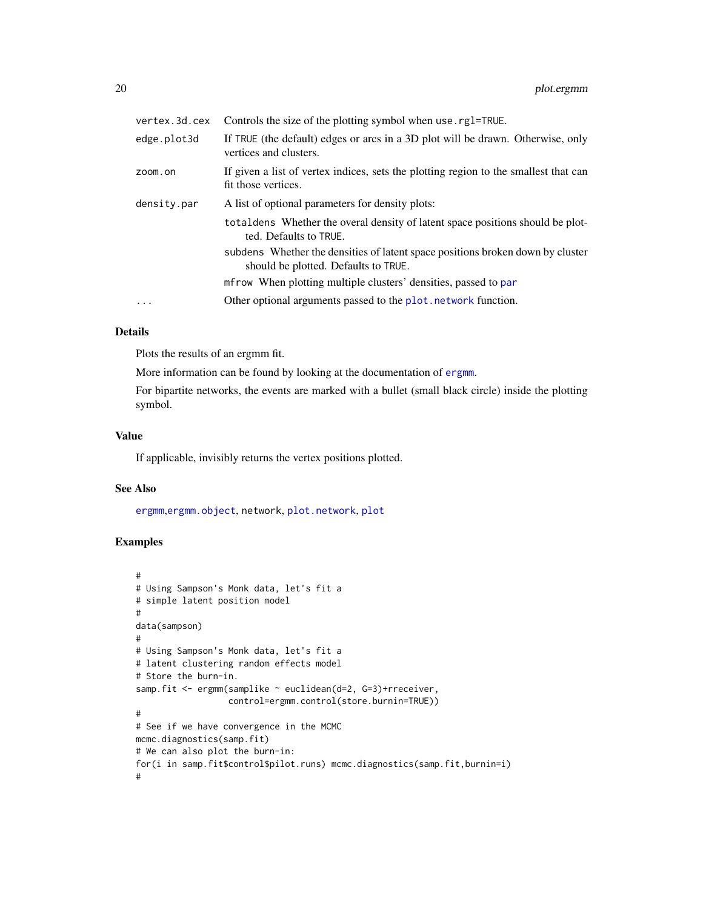<span id="page-19-0"></span>

| vertex.3d.cex | Controls the size of the plotting symbol when use rg1=TRUE.                                                            |
|---------------|------------------------------------------------------------------------------------------------------------------------|
| edge.plot3d   | If TRUE (the default) edges or arcs in a 3D plot will be drawn. Otherwise, only<br>vertices and clusters.              |
| zoom.on       | If given a list of vertex indices, sets the plotting region to the smallest that can<br>fit those vertices.            |
| density.par   | A list of optional parameters for density plots:                                                                       |
|               | total densember that overal density of latent space positions should be plot-<br>ted. Defaults to TRUE.                |
|               | subdens Whether the densities of latent space positions broken down by cluster<br>should be plotted. Defaults to TRUE. |
|               | mfrow When plotting multiple clusters' densities, passed to par                                                        |
| $\ddots$      | Other optional arguments passed to the plot. network function.                                                         |
|               |                                                                                                                        |

#### Details

Plots the results of an ergmm fit.

More information can be found by looking at the documentation of [ergmm](#page-4-1).

For bipartite networks, the events are marked with a bullet (small black circle) inside the plotting symbol.

#### Value

If applicable, invisibly returns the vertex positions plotted.

#### See Also

[ergmm](#page-4-1),[ergmm.object](#page-8-1), network, [plot.network](#page-0-0), [plot](#page-0-0)

#### Examples

```
#
# Using Sampson's Monk data, let's fit a
# simple latent position model
#
data(sampson)
#
# Using Sampson's Monk data, let's fit a
# latent clustering random effects model
# Store the burn-in.
samp.fit <- ergmm(samplike ~ euclidean(d=2, G=3)+rreceiver,
                  control=ergmm.control(store.burnin=TRUE))
#
# See if we have convergence in the MCMC
mcmc.diagnostics(samp.fit)
# We can also plot the burn-in:
for(i in samp.fit$control$pilot.runs) mcmc.diagnostics(samp.fit,burnin=i)
#
```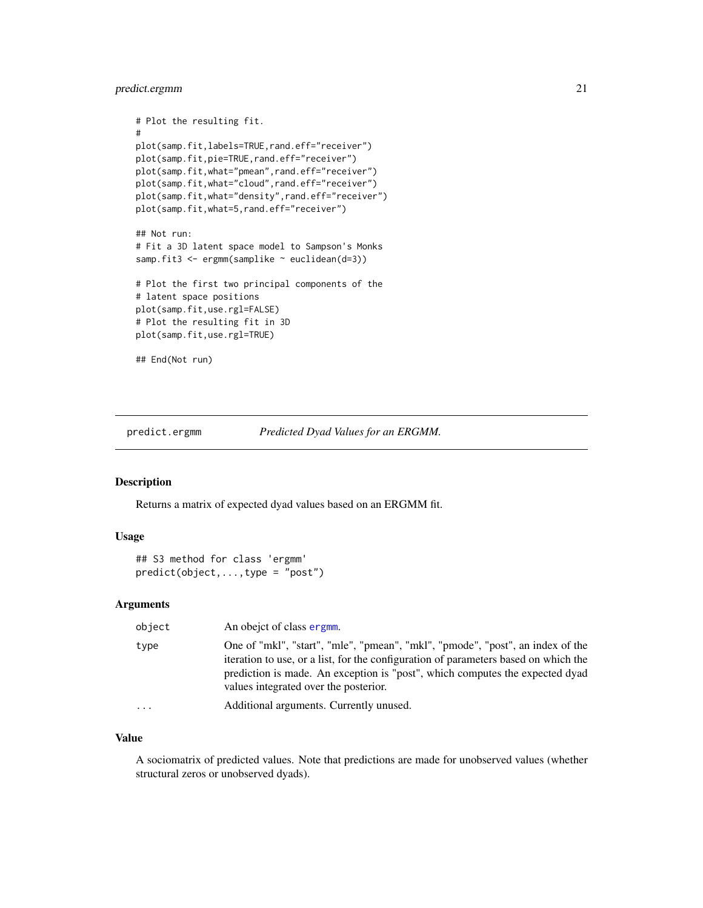#### <span id="page-20-0"></span>predict.ergmm 21

```
# Plot the resulting fit.
#
plot(samp.fit,labels=TRUE,rand.eff="receiver")
plot(samp.fit,pie=TRUE,rand.eff="receiver")
plot(samp.fit,what="pmean",rand.eff="receiver")
plot(samp.fit,what="cloud",rand.eff="receiver")
plot(samp.fit,what="density",rand.eff="receiver")
plot(samp.fit,what=5,rand.eff="receiver")
## Not run:
# Fit a 3D latent space model to Sampson's Monks
samp.fit3 <- ergmm(samplike ~ euclidean(d=3))
# Plot the first two principal components of the
# latent space positions
plot(samp.fit,use.rgl=FALSE)
# Plot the resulting fit in 3D
plot(samp.fit,use.rgl=TRUE)
## End(Not run)
```
<span id="page-20-1"></span>

predict.ergmm *Predicted Dyad Values for an ERGMM.*

#### Description

Returns a matrix of expected dyad values based on an ERGMM fit.

#### Usage

```
## S3 method for class 'ergmm'
predict(object,...,type = "post")
```
#### Arguments

| object    | An obejet of class ergmm.                                                                                                                                                                                                                                                                      |
|-----------|------------------------------------------------------------------------------------------------------------------------------------------------------------------------------------------------------------------------------------------------------------------------------------------------|
| type      | One of "mkl", "start", "mle", "pmean", "mkl", "pmode", "post", an index of the<br>iteration to use, or a list, for the configuration of parameters based on which the<br>prediction is made. An exception is "post", which computes the expected dyad<br>values integrated over the posterior. |
| $\ddotsc$ | Additional arguments. Currently unused.                                                                                                                                                                                                                                                        |

#### Value

A sociomatrix of predicted values. Note that predictions are made for unobserved values (whether structural zeros or unobserved dyads).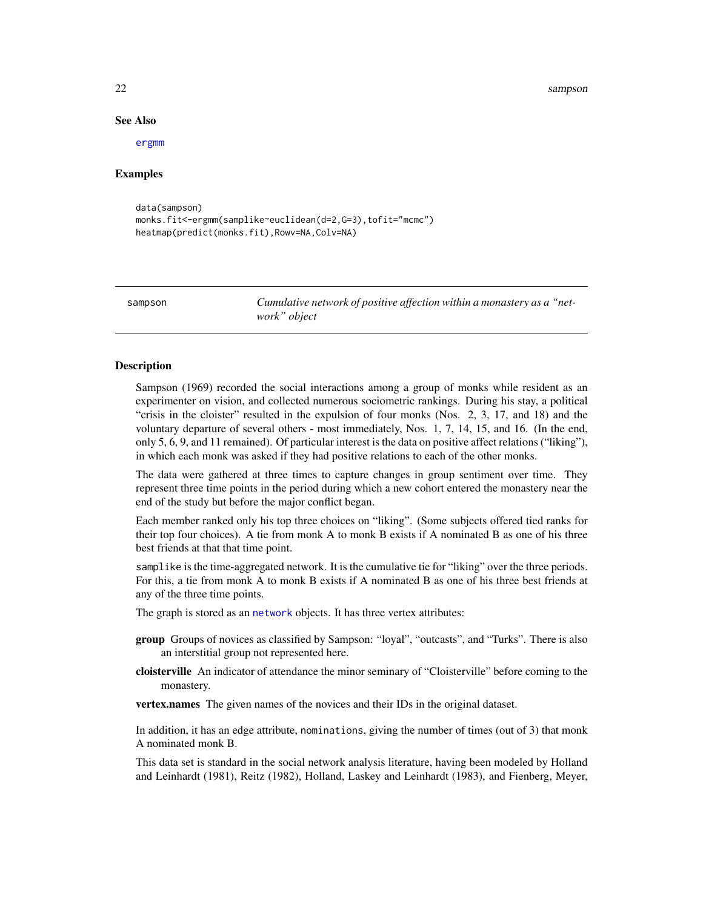#### 22 sampson sampson sampson sampson sampson sampson sampson sampson sampson sampson sampson sampson sampson sampson sampson sampson sampson sampson sampson sampson sampson sampson sampson sampson sampson sampson sampson sam

#### See Also

[ergmm](#page-8-1)

#### Examples

```
data(sampson)
monks.fit<-ergmm(samplike~euclidean(d=2,G=3),tofit="mcmc")
heatmap(predict(monks.fit),Rowv=NA,Colv=NA)
```
sampson *Cumulative network of positive affection within a monastery as a "network" object*

#### Description

Sampson (1969) recorded the social interactions among a group of monks while resident as an experimenter on vision, and collected numerous sociometric rankings. During his stay, a political "crisis in the cloister" resulted in the expulsion of four monks (Nos. 2, 3, 17, and 18) and the voluntary departure of several others - most immediately, Nos. 1, 7, 14, 15, and 16. (In the end, only 5, 6, 9, and 11 remained). Of particular interest is the data on positive affect relations ("liking"), in which each monk was asked if they had positive relations to each of the other monks.

The data were gathered at three times to capture changes in group sentiment over time. They represent three time points in the period during which a new cohort entered the monastery near the end of the study but before the major conflict began.

Each member ranked only his top three choices on "liking". (Some subjects offered tied ranks for their top four choices). A tie from monk A to monk B exists if A nominated B as one of his three best friends at that that time point.

samplike is the time-aggregated network. It is the cumulative tie for "liking" over the three periods. For this, a tie from monk A to monk B exists if A nominated B as one of his three best friends at any of the three time points.

The graph is stored as an [network](#page-0-0) objects. It has three vertex attributes:

- group Groups of novices as classified by Sampson: "loyal", "outcasts", and "Turks". There is also an interstitial group not represented here.
- cloisterville An indicator of attendance the minor seminary of "Cloisterville" before coming to the monastery.

vertex.names The given names of the novices and their IDs in the original dataset.

In addition, it has an edge attribute, nominations, giving the number of times (out of 3) that monk A nominated monk B.

This data set is standard in the social network analysis literature, having been modeled by Holland and Leinhardt (1981), Reitz (1982), Holland, Laskey and Leinhardt (1983), and Fienberg, Meyer,

<span id="page-21-0"></span>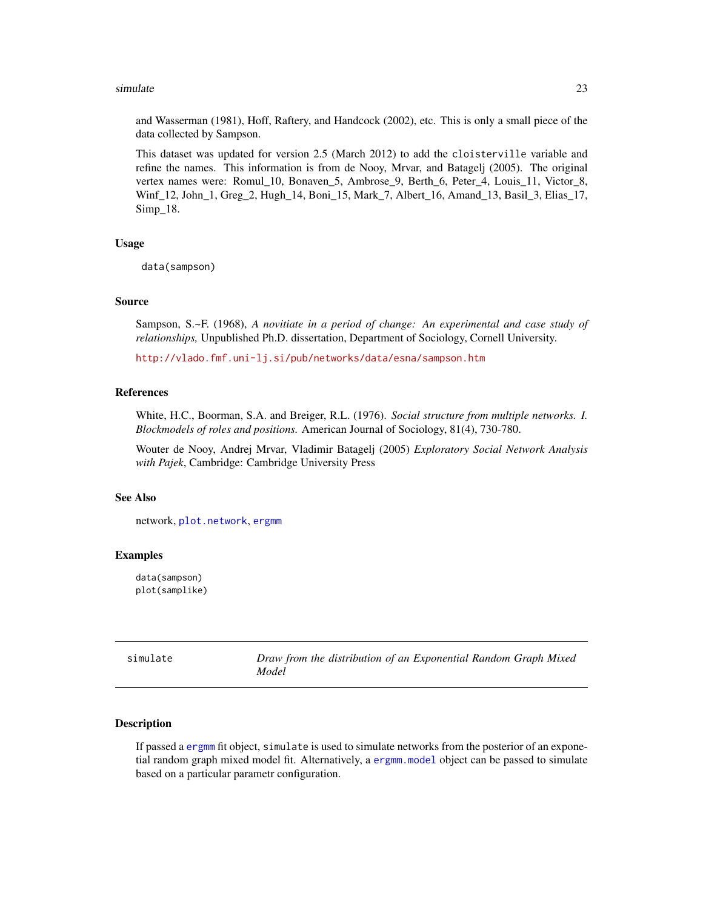#### <span id="page-22-0"></span>simulate 23

and Wasserman (1981), Hoff, Raftery, and Handcock (2002), etc. This is only a small piece of the data collected by Sampson.

This dataset was updated for version 2.5 (March 2012) to add the cloisterville variable and refine the names. This information is from de Nooy, Mrvar, and Batagelj (2005). The original vertex names were: Romul\_10, Bonaven\_5, Ambrose\_9, Berth\_6, Peter\_4, Louis\_11, Victor\_8, Winf\_12, John\_1, Greg\_2, Hugh\_14, Boni\_15, Mark\_7, Albert\_16, Amand\_13, Basil\_3, Elias\_17, Simp\_18.

#### Usage

data(sampson)

#### Source

Sampson, S.~F. (1968), *A novitiate in a period of change: An experimental and case study of relationships,* Unpublished Ph.D. dissertation, Department of Sociology, Cornell University.

<http://vlado.fmf.uni-lj.si/pub/networks/data/esna/sampson.htm>

#### References

White, H.C., Boorman, S.A. and Breiger, R.L. (1976). *Social structure from multiple networks. I. Blockmodels of roles and positions.* American Journal of Sociology, 81(4), 730-780.

Wouter de Nooy, Andrej Mrvar, Vladimir Batagelj (2005) *Exploratory Social Network Analysis with Pajek*, Cambridge: Cambridge University Press

#### See Also

network, [plot.network](#page-0-0), [ergmm](#page-4-1)

#### Examples

data(sampson) plot(samplike)

| simulate | Draw from the distribution of an Exponential Random Graph Mixed |
|----------|-----------------------------------------------------------------|
|          | Model                                                           |

#### <span id="page-22-1"></span>Description

If passed a [ergmm](#page-8-1) fit object, simulate is used to simulate networks from the posterior of an exponetial random graph mixed model fit. Alternatively, a [ergmm.model](#page-0-0) object can be passed to simulate based on a particular parametr configuration.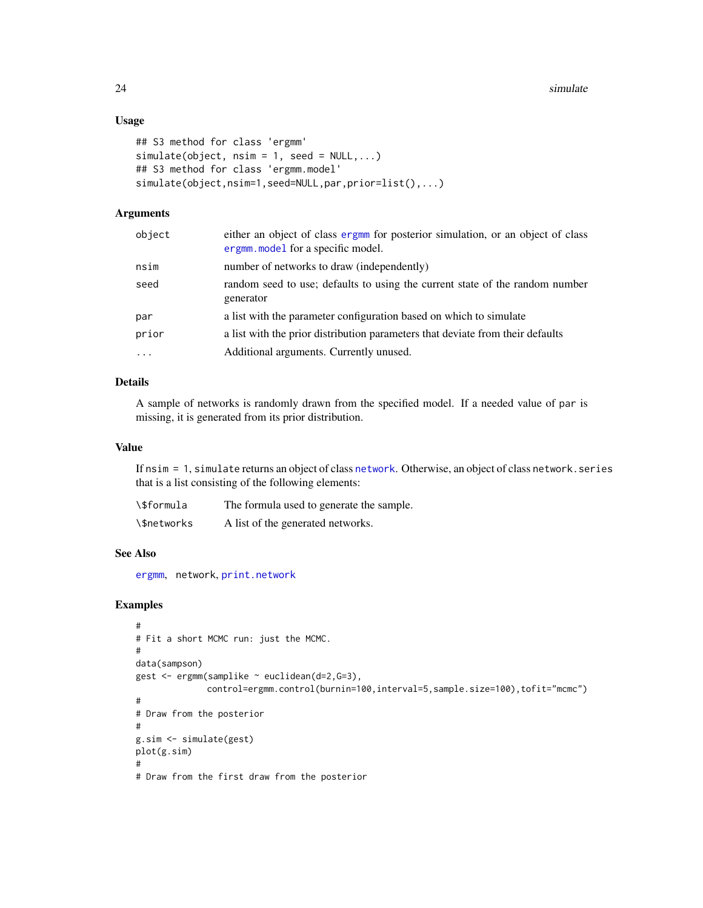#### <span id="page-23-0"></span>Usage

```
## S3 method for class 'ergmm'
simulate(object, nsim = 1, seed = NULL, ...)## S3 method for class 'ergmm.model'
simulate(object,nsim=1,seed=NULL,par,prior=list(),...)
```
#### Arguments

| object    | either an object of class ergmm for posterior simulation, or an object of class<br>ergmm. model for a specific model. |
|-----------|-----------------------------------------------------------------------------------------------------------------------|
| nsim      | number of networks to draw (independently)                                                                            |
| seed      | random seed to use; defaults to using the current state of the random number<br>generator                             |
| par       | a list with the parameter configuration based on which to simulate                                                    |
| prior     | a list with the prior distribution parameters that deviate from their defaults                                        |
| $\ddotsc$ | Additional arguments. Currently unused.                                                                               |

#### Details

A sample of networks is randomly drawn from the specified model. If a needed value of par is missing, it is generated from its prior distribution.

#### Value

If nsim = 1, simulate returns an object of class [network](#page-0-0). Otherwise, an object of class network.series that is a list consisting of the following elements:

| <b>\\$formula</b> | The formula used to generate the sample. |
|-------------------|------------------------------------------|
| \\$networks       | A list of the generated networks.        |

#### See Also

[ergmm](#page-4-1), network, [print.network](#page-0-0)

#### Examples

```
#
# Fit a short MCMC run: just the MCMC.
#
data(sampson)
gest <- ergmm(samplike ~ euclidean(d=2,G=3),
              control=ergmm.control(burnin=100,interval=5,sample.size=100),tofit="mcmc")
#
# Draw from the posterior
#
g.sim <- simulate(gest)
plot(g.sim)
#
# Draw from the first draw from the posterior
```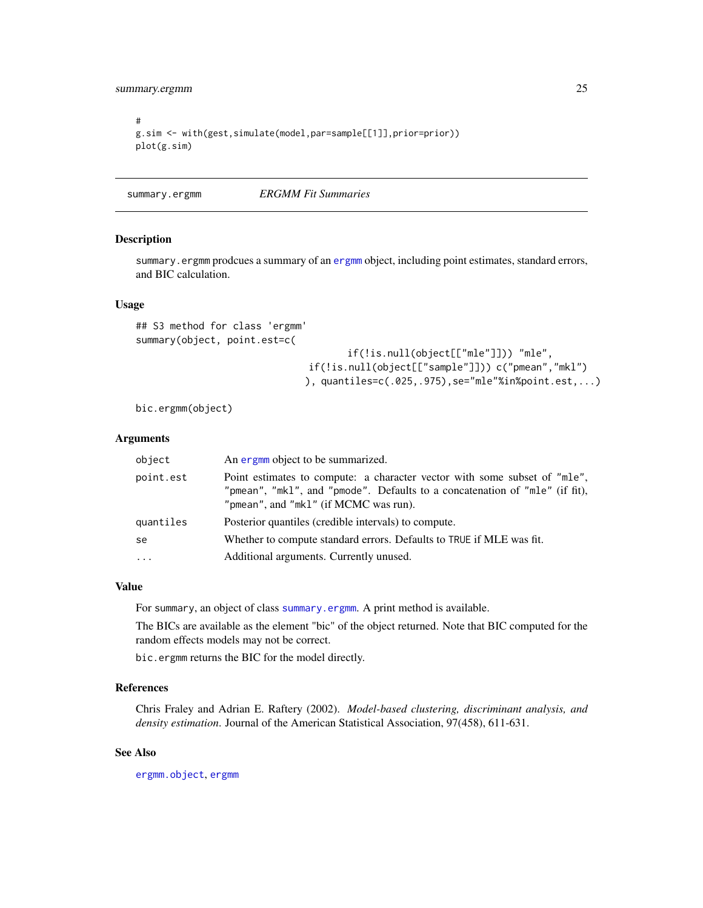<span id="page-24-0"></span>summary.ergmm 25

```
#
g.sim <- with(gest,simulate(model,par=sample[[1]],prior=prior))
plot(g.sim)
```
<span id="page-24-1"></span>summary.ergmm *ERGMM Fit Summaries*

#### <span id="page-24-2"></span>Description

summary.ergmm prodcues a summary of an [ergmm](#page-8-1) object, including point estimates, standard errors, and BIC calculation.

#### Usage

```
## S3 method for class 'ergmm'
summary(object, point.est=c(
```
if(!is.null(object[["mle"]])) "mle", if(!is.null(object[["sample"]])) c("pmean","mkl") ), quantiles=c(.025,.975),se="mle"%in%point.est,...)

bic.ergmm(object)

#### Arguments

| object    | An ergmm object to be summarized.                                                                                                                                                                 |
|-----------|---------------------------------------------------------------------------------------------------------------------------------------------------------------------------------------------------|
| point.est | Point estimates to compute: a character vector with some subset of "mle",<br>"pmean", "mkl", and "pmode". Defaults to a concatenation of "mle" (if fit),<br>"pmean", and "mkl" (if MCMC was run). |
| quantiles | Posterior quantiles (credible intervals) to compute.                                                                                                                                              |
| se        | Whether to compute standard errors. Defaults to TRUE if MLE was fit.                                                                                                                              |
| $\cdot$   | Additional arguments. Currently unused.                                                                                                                                                           |

#### Value

For summary, an object of class [summary.ergmm](#page-24-2). A print method is available.

The BICs are available as the element "bic" of the object returned. Note that BIC computed for the random effects models may not be correct.

bic.ergmm returns the BIC for the model directly.

#### References

Chris Fraley and Adrian E. Raftery (2002). *Model-based clustering, discriminant analysis, and density estimation*. Journal of the American Statistical Association, 97(458), 611-631.

#### See Also

[ergmm.object](#page-8-1), [ergmm](#page-4-1)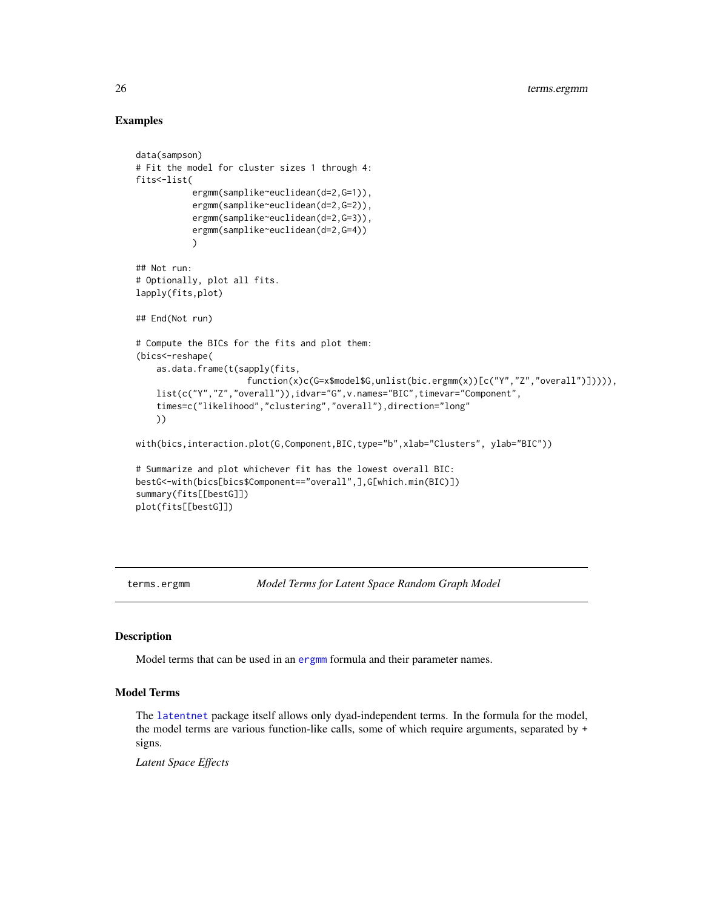#### Examples

```
data(sampson)
# Fit the model for cluster sizes 1 through 4:
fits<-list(
           ergmm(samplike~euclidean(d=2,G=1)),
           ergmm(samplike~euclidean(d=2,G=2)),
           ergmm(samplike~euclidean(d=2,G=3)),
           ergmm(samplike~euclidean(d=2,G=4))
           \lambda## Not run:
# Optionally, plot all fits.
lapply(fits,plot)
## End(Not run)
# Compute the BICs for the fits and plot them:
(bics<-reshape(
    as.data.frame(t(sapply(fits,
                      function(x)c(G=x$model$G,unlist(bic.ergmm(x))[c("Y","Z","overall")])))),
    list(c("Y","Z","overall")),idvar="G",v.names="BIC",timevar="Component",
    times=c("likelihood","clustering","overall"),direction="long"
    ))
with(bics,interaction.plot(G,Component,BIC,type="b",xlab="Clusters", ylab="BIC"))
# Summarize and plot whichever fit has the lowest overall BIC:
bestG<-with(bics[bics$Component=="overall",],G[which.min(BIC)])
summary(fits[[bestG]])
plot(fits[[bestG]])
```
<span id="page-25-1"></span>

terms.ergmm *Model Terms for Latent Space Random Graph Model*

#### <span id="page-25-2"></span>Description

Model terms that can be used in an [ergmm](#page-4-1) formula and their parameter names.

#### Model Terms

The [latentnet](#page-13-1) package itself allows only dyad-independent terms. In the formula for the model, the model terms are various function-like calls, some of which require arguments, separated by + signs.

*Latent Space Effects*

<span id="page-25-0"></span>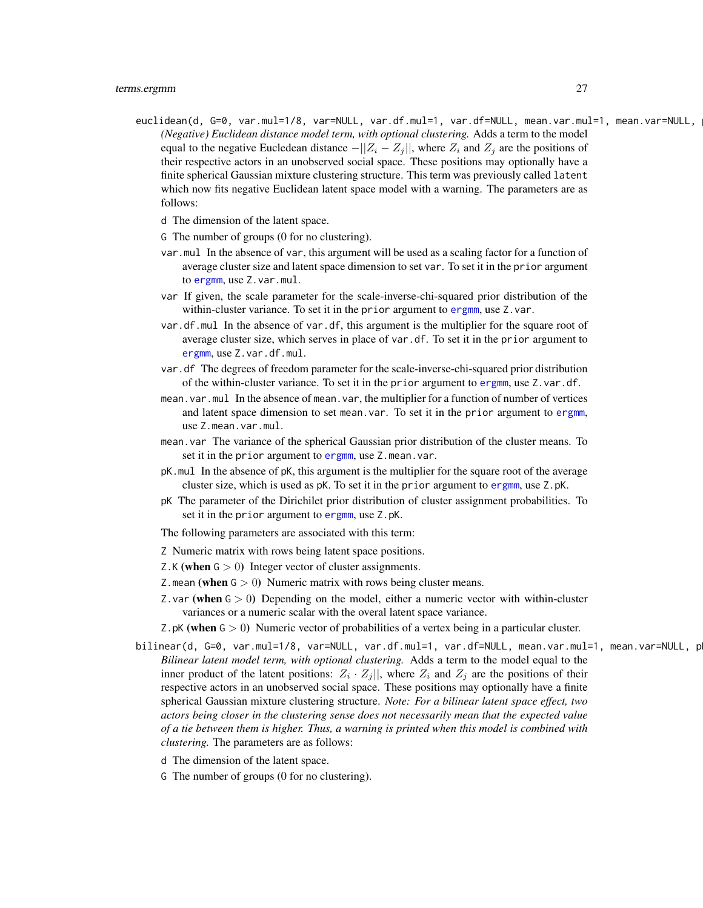euclidean(d, G=0, var.mul=1/8, var=NULL, var.df.mul=1, var.df=NULL, mean.var.mul=1, mean.var=NULL, *(Negative) Euclidean distance model term, with optional clustering.* Adds a term to the model equal to the negative Eucledean distance  $-||Z_i - Z_j||$ , where  $Z_i$  and  $Z_j$  are the positions of their respective actors in an unobserved social space. These positions may optionally have a finite spherical Gaussian mixture clustering structure. This term was previously called latent which now fits negative Euclidean latent space model with a warning. The parameters are as follows:

d The dimension of the latent space.

- G The number of groups (0 for no clustering).
- var.mul In the absence of var, this argument will be used as a scaling factor for a function of average cluster size and latent space dimension to set var. To set it in the prior argument to [ergmm](#page-4-1), use Z.var.mul.
- var If given, the scale parameter for the scale-inverse-chi-squared prior distribution of the within-cluster variance. To set it in the prior argument to [ergmm](#page-4-1), use Z.var.
- var.df.mul In the absence of var.df, this argument is the multiplier for the square root of average cluster size, which serves in place of var.df. To set it in the prior argument to [ergmm](#page-4-1), use Z.var.df.mul.
- var.df The degrees of freedom parameter for the scale-inverse-chi-squared prior distribution of the within-cluster variance. To set it in the prior argument to [ergmm](#page-4-1), use Z.var.df.
- mean.var.mul In the absence of mean.var, the multiplier for a function of number of vertices and latent space dimension to set mean.var. To set it in the prior argument to [ergmm](#page-4-1), use Z.mean.var.mul.
- mean.var The variance of the spherical Gaussian prior distribution of the cluster means. To set it in the prior argument to [ergmm](#page-4-1), use Z.mean.var.
- pK.mul In the absence of pK, this argument is the multiplier for the square root of the average cluster size, which is used as pK. To set it in the prior argument to [ergmm](#page-4-1), use Z.pK.
- pK The parameter of the Dirichilet prior distribution of cluster assignment probabilities. To set it in the prior argument to [ergmm](#page-4-1), use Z.pK.

The following parameters are associated with this term:

- Z Numeric matrix with rows being latent space positions.
- Z.K (when  $G > 0$ ) Integer vector of cluster assignments.
- Z. mean (when  $G > 0$ ) Numeric matrix with rows being cluster means.
- Z. var (when  $G > 0$ ) Depending on the model, either a numeric vector with within-cluster variances or a numeric scalar with the overal latent space variance.
- Z.pK (when  $G > 0$ ) Numeric vector of probabilities of a vertex being in a particular cluster.
- bilinear(d, G=0, var.mul=1/8, var=NULL, var.df.mul=1, var.df=NULL, mean.var.mul=1, mean.var=NULL, p *Bilinear latent model term, with optional clustering.* Adds a term to the model equal to the inner product of the latent positions:  $Z_i \cdot Z_j$ , where  $Z_i$  and  $Z_j$  are the positions of their respective actors in an unobserved social space. These positions may optionally have a finite spherical Gaussian mixture clustering structure. *Note: For a bilinear latent space effect, two actors being closer in the clustering sense does not necessarily mean that the expected value of a tie between them is higher. Thus, a warning is printed when this model is combined with clustering.* The parameters are as follows:
	- d The dimension of the latent space.
	- G The number of groups (0 for no clustering).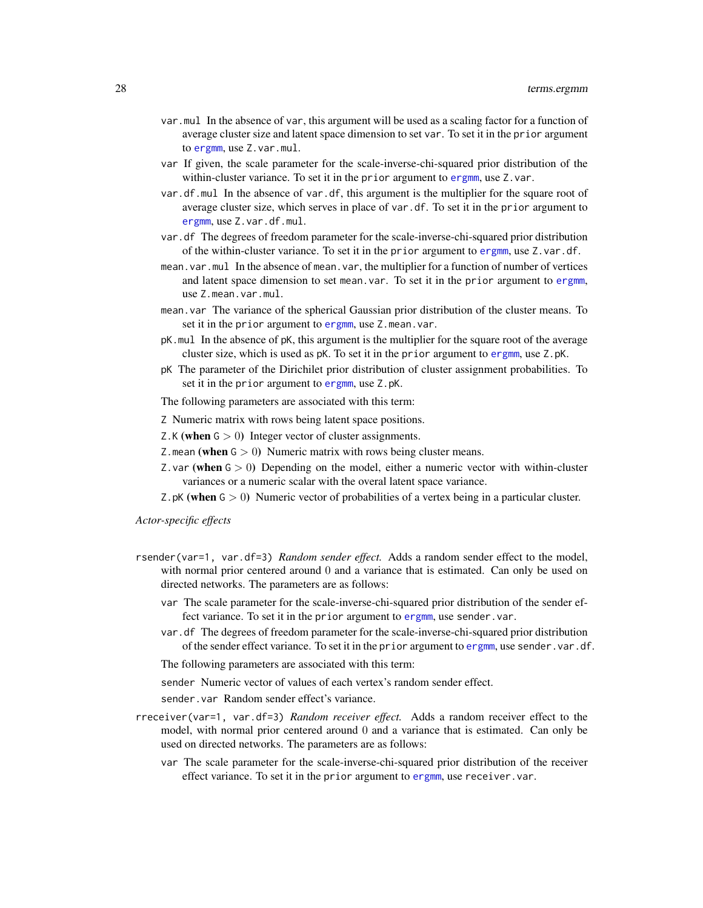- var.mul In the absence of var, this argument will be used as a scaling factor for a function of average cluster size and latent space dimension to set var. To set it in the prior argument to [ergmm](#page-4-1), use Z.var.mul.
- var If given, the scale parameter for the scale-inverse-chi-squared prior distribution of the within-cluster variance. To set it in the prior argument to [ergmm](#page-4-1), use Z.var.
- var.df.mul In the absence of var.df, this argument is the multiplier for the square root of average cluster size, which serves in place of var.df. To set it in the prior argument to [ergmm](#page-4-1), use Z.var.df.mul.
- var.df The degrees of freedom parameter for the scale-inverse-chi-squared prior distribution of the within-cluster variance. To set it in the prior argument to [ergmm](#page-4-1), use Z.var.df.
- mean.var.mul In the absence of mean.var, the multiplier for a function of number of vertices and latent space dimension to set mean.var. To set it in the prior argument to [ergmm](#page-4-1), use Z.mean.var.mul.
- mean.var The variance of the spherical Gaussian prior distribution of the cluster means. To set it in the prior argument to [ergmm](#page-4-1), use Z.mean.var.
- pK.mul In the absence of pK, this argument is the multiplier for the square root of the average cluster size, which is used as pK. To set it in the prior argument to [ergmm](#page-4-1), use Z.pK.
- pK The parameter of the Dirichilet prior distribution of cluster assignment probabilities. To set it in the prior argument to [ergmm](#page-4-1), use Z.pK.

The following parameters are associated with this term:

- Z Numeric matrix with rows being latent space positions.
- Z.K (when  $G > 0$ ) Integer vector of cluster assignments.
- Z.mean (when  $G > 0$ ) Numeric matrix with rows being cluster means.
- Z. var (when  $G > 0$ ) Depending on the model, either a numeric vector with within-cluster variances or a numeric scalar with the overal latent space variance.
- Z.pK (when  $G > 0$ ) Numeric vector of probabilities of a vertex being in a particular cluster.

*Actor-specific effects*

- rsender(var=1, var.df=3) *Random sender effect.* Adds a random sender effect to the model, with normal prior centered around 0 and a variance that is estimated. Can only be used on directed networks. The parameters are as follows:
	- var The scale parameter for the scale-inverse-chi-squared prior distribution of the sender effect variance. To set it in the prior argument to [ergmm](#page-4-1), use sender. var.
	- var.df The degrees of freedom parameter for the scale-inverse-chi-squared prior distribution of the sender effect variance. To set it in the prior argument to [ergmm](#page-4-1), use sender.var.df.

The following parameters are associated with this term:

sender Numeric vector of values of each vertex's random sender effect.

sender.var Random sender effect's variance.

- rreceiver(var=1, var.df=3) *Random receiver effect.* Adds a random receiver effect to the model, with normal prior centered around 0 and a variance that is estimated. Can only be used on directed networks. The parameters are as follows:
	- var The scale parameter for the scale-inverse-chi-squared prior distribution of the receiver effect variance. To set it in the prior argument to [ergmm](#page-4-1), use receiver. var.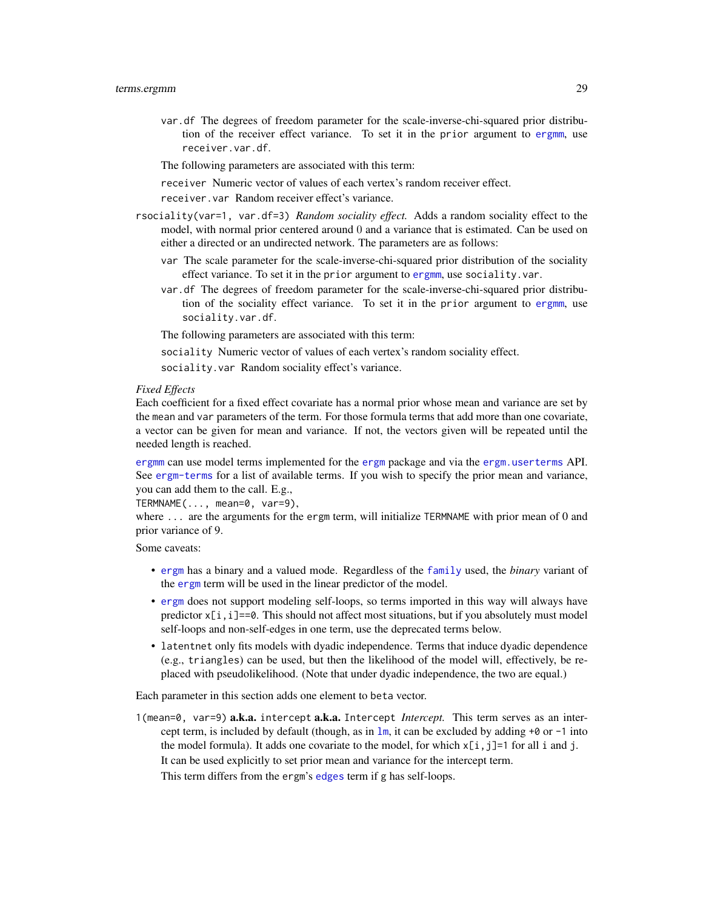<span id="page-28-0"></span>var.df The degrees of freedom parameter for the scale-inverse-chi-squared prior distribution of the receiver effect variance. To set it in the prior argument to [ergmm](#page-4-1), use receiver.var.df.

The following parameters are associated with this term:

receiver Numeric vector of values of each vertex's random receiver effect.

receiver.var Random receiver effect's variance.

- rsociality(var=1, var.df=3) *Random sociality effect.* Adds a random sociality effect to the model, with normal prior centered around 0 and a variance that is estimated. Can be used on either a directed or an undirected network. The parameters are as follows:
	- var The scale parameter for the scale-inverse-chi-squared prior distribution of the sociality effect variance. To set it in the prior argument to [ergmm](#page-4-1), use sociality. var.
	- var.df The degrees of freedom parameter for the scale-inverse-chi-squared prior distribution of the sociality effect variance. To set it in the prior argument to [ergmm](#page-4-1), use sociality.var.df.

The following parameters are associated with this term:

sociality Numeric vector of values of each vertex's random sociality effect.

sociality.var Random sociality effect's variance.

#### *Fixed Effects*

Each coefficient for a fixed effect covariate has a normal prior whose mean and variance are set by the mean and var parameters of the term. For those formula terms that add more than one covariate, a vector can be given for mean and variance. If not, the vectors given will be repeated until the needed length is reached.

[ergmm](#page-4-1) can use model terms implemented for the [ergm](#page-0-0) package and via the [ergm.userterms](#page-0-0) API. See [ergm-terms](#page-0-0) for a list of available terms. If you wish to specify the prior mean and variance, you can add them to the call. E.g.,

TERMNAME(..., mean=0, var=9),

where ... are the arguments for the ergm term, will initialize TERMNAME with prior mean of 0 and prior variance of 9.

Some caveats:

- [ergm](#page-0-0) has a binary and a valued mode. Regardless of the [family](#page-11-1) used, the *binary* variant of the [ergm](#page-0-0) term will be used in the linear predictor of the model.
- [ergm](#page-0-0) does not support modeling self-loops, so terms imported in this way will always have predictor  $x[i, i] == 0$ . This should not affect most situations, but if you absolutely must model self-loops and non-self-edges in one term, use the deprecated terms below.
- latentnet only fits models with dyadic independence. Terms that induce dyadic dependence (e.g., triangles) can be used, but then the likelihood of the model will, effectively, be replaced with pseudolikelihood. (Note that under dyadic independence, the two are equal.)

Each parameter in this section adds one element to beta vector.

1(mean=0, var=9) a.k.a. intercept a.k.a. Intercept *Intercept.* This term serves as an intercept term, is included by default (though, as in  $\text{lm}$  $\text{lm}$  $\text{lm}$ , it can be excluded by adding +0 or -1 into the model formula). It adds one covariate to the model, for which  $x[i, j]=1$  for all i and j. It can be used explicitly to set prior mean and variance for the intercept term.

This term differs from the ergm's [edges](#page-0-0) term if g has self-loops.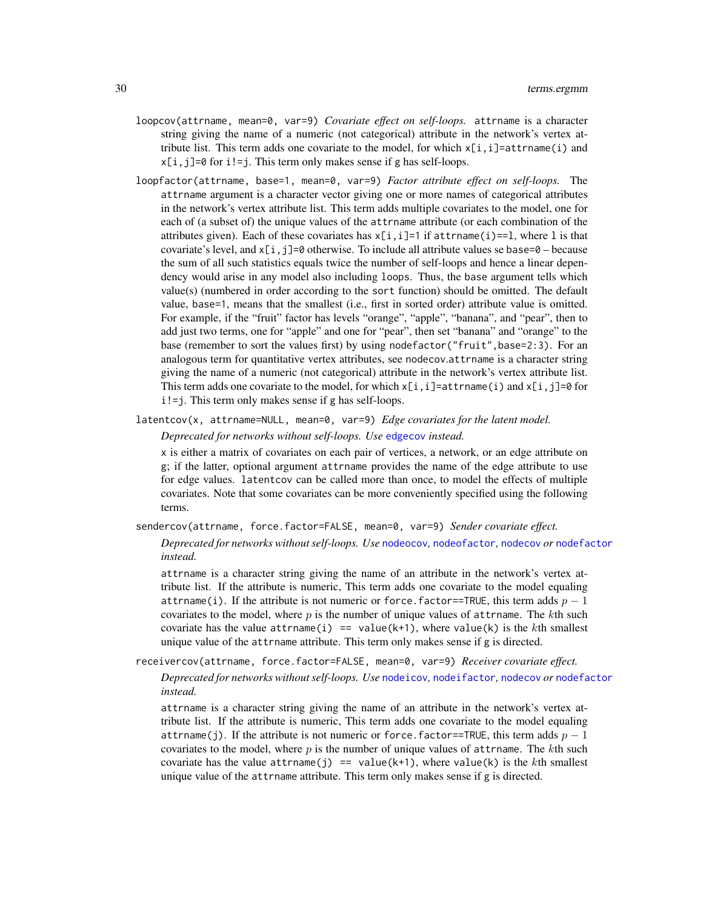- <span id="page-29-0"></span>loopcov(attrname, mean=0, var=9) *Covariate effect on self-loops.* attrname is a character string giving the name of a numeric (not categorical) attribute in the network's vertex attribute list. This term adds one covariate to the model, for which  $x[i, i]$ =attrname(i) and  $x[i, j]=0$  for  $i!=j$ . This term only makes sense if g has self-loops.
- loopfactor(attrname, base=1, mean=0, var=9) *Factor attribute effect on self-loops.* The attrname argument is a character vector giving one or more names of categorical attributes in the network's vertex attribute list. This term adds multiple covariates to the model, one for each of (a subset of) the unique values of the attrname attribute (or each combination of the attributes given). Each of these covariates has  $x[i, i]=1$  if attrname(i)==1, where 1 is that covariate's level, and  $x[i, j]=0$  otherwise. To include all attribute values se base= $0 -$  because the sum of all such statistics equals twice the number of self-loops and hence a linear dependency would arise in any model also including loops. Thus, the base argument tells which value(s) (numbered in order according to the sort function) should be omitted. The default value, base=1, means that the smallest (i.e., first in sorted order) attribute value is omitted. For example, if the "fruit" factor has levels "orange", "apple", "banana", and "pear", then to add just two terms, one for "apple" and one for "pear", then set "banana" and "orange" to the base (remember to sort the values first) by using nodefactor("fruit", base=2:3). For an analogous term for quantitative vertex attributes, see nodecov.attrname is a character string giving the name of a numeric (not categorical) attribute in the network's vertex attribute list. This term adds one covariate to the model, for which  $x[i,i]=at$  transme(i) and  $x[i,j]=0$  for i!=j. This term only makes sense if g has self-loops.
- latentcov(x, attrname=NULL, mean=0, var=9) *Edge covariates for the latent model.*

```
Deprecated for networks without self-loops. Use edgecov instead.
```
x is either a matrix of covariates on each pair of vertices, a network, or an edge attribute on g; if the latter, optional argument attrname provides the name of the edge attribute to use for edge values. latentcov can be called more than once, to model the effects of multiple covariates. Note that some covariates can be more conveniently specified using the following terms.

sendercov(attrname, force.factor=FALSE, mean=0, var=9) *Sender covariate effect.*

*Deprecated for networks without self-loops. Use* [nodeocov](#page-0-0)*,* [nodeofactor](#page-0-0)*,* [nodecov](#page-0-0) *or* [nodefactor](#page-0-0) *instead.*

attrname is a character string giving the name of an attribute in the network's vertex attribute list. If the attribute is numeric, This term adds one covariate to the model equaling attrname(i). If the attribute is not numeric or force.factor==TRUE, this term adds  $p-1$ covariates to the model, where  $p$  is the number of unique values of attrname. The kth such covariate has the value attrname(i) == value(k+1), where value(k) is the kth smallest unique value of the attrname attribute. This term only makes sense if g is directed.

receivercov(attrname, force.factor=FALSE, mean=0, var=9) *Receiver covariate effect.*

*Deprecated for networks without self-loops. Use* [nodeicov](#page-0-0)*,* [nodeifactor](#page-0-0)*,* [nodecov](#page-0-0) *or* [nodefactor](#page-0-0) *instead.*

attrname is a character string giving the name of an attribute in the network's vertex attribute list. If the attribute is numeric, This term adds one covariate to the model equaling attrname(j). If the attribute is not numeric or force. factor==TRUE, this term adds  $p-1$ covariates to the model, where  $p$  is the number of unique values of attrname. The kth such covariate has the value attrname(j) == value(k+1), where value(k) is the kth smallest unique value of the attrname attribute. This term only makes sense if g is directed.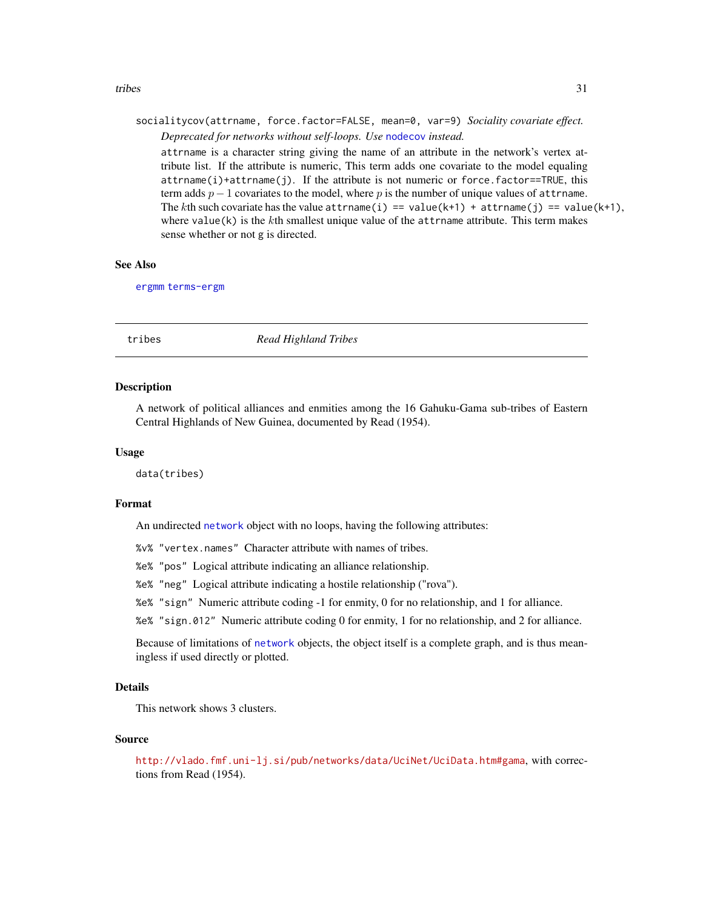#### <span id="page-30-0"></span>tribes 31

### socialitycov(attrname, force.factor=FALSE, mean=0, var=9) *Sociality covariate effect. Deprecated for networks without self-loops. Use* [nodecov](#page-0-0) *instead.*

attrname is a character string giving the name of an attribute in the network's vertex attribute list. If the attribute is numeric, This term adds one covariate to the model equaling  $attrname(i)+attrname(j)$ . If the attribute is not numeric or force.factor==TRUE, this term adds  $p-1$  covariates to the model, where p is the number of unique values of attrname. The kth such covariate has the value attrname(i) == value(k+1) + attrname(j) == value(k+1), where value $(k)$  is the kth smallest unique value of the attribute. This term makes sense whether or not g is directed.

#### See Also

[ergmm](#page-4-1) [terms-ergm](#page-0-0)

tribes *Read Highland Tribes*

#### **Description**

A network of political alliances and enmities among the 16 Gahuku-Gama sub-tribes of Eastern Central Highlands of New Guinea, documented by Read (1954).

#### Usage

data(tribes)

#### Format

An undirected [network](#page-0-0) object with no loops, having the following attributes:

%v% "vertex.names" Character attribute with names of tribes.

%e% "pos" Logical attribute indicating an alliance relationship.

%e% "neg" Logical attribute indicating a hostile relationship ("rova").

%e% "sign" Numeric attribute coding -1 for enmity, 0 for no relationship, and 1 for alliance.

%e% "sign.012" Numeric attribute coding 0 for enmity, 1 for no relationship, and 2 for alliance.

Because of limitations of [network](#page-0-0) objects, the object itself is a complete graph, and is thus meaningless if used directly or plotted.

#### Details

This network shows 3 clusters.

#### Source

<http://vlado.fmf.uni-lj.si/pub/networks/data/UciNet/UciData.htm#gama>, with corrections from Read (1954).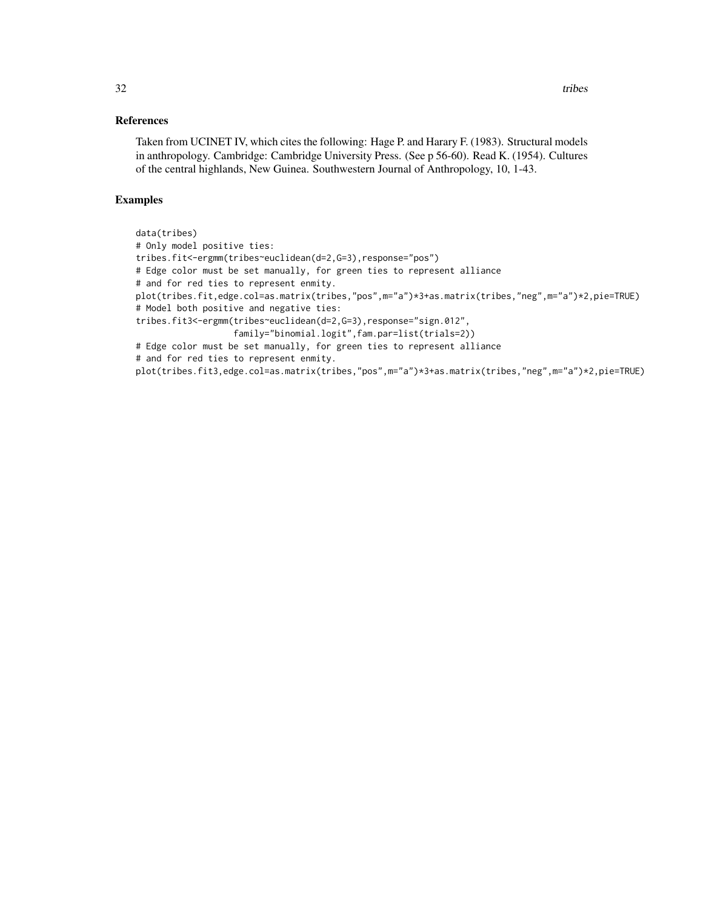#### References

Taken from UCINET IV, which cites the following: Hage P. and Harary F. (1983). Structural models in anthropology. Cambridge: Cambridge University Press. (See p 56-60). Read K. (1954). Cultures of the central highlands, New Guinea. Southwestern Journal of Anthropology, 10, 1-43.

#### Examples

```
data(tribes)
# Only model positive ties:
tribes.fit<-ergmm(tribes~euclidean(d=2,G=3),response="pos")
# Edge color must be set manually, for green ties to represent alliance
# and for red ties to represent enmity.
plot(tribes.fit,edge.col=as.matrix(tribes,"pos",m="a")*3+as.matrix(tribes,"neg",m="a")*2,pie=TRUE)
# Model both positive and negative ties:
tribes.fit3<-ergmm(tribes~euclidean(d=2,G=3),response="sign.012",
                   family="binomial.logit",fam.par=list(trials=2))
# Edge color must be set manually, for green ties to represent alliance
# and for red ties to represent enmity.
plot(tribes.fit3,edge.col=as.matrix(tribes,"pos",m="a")*3+as.matrix(tribes,"neg",m="a")*2,pie=TRUE)
```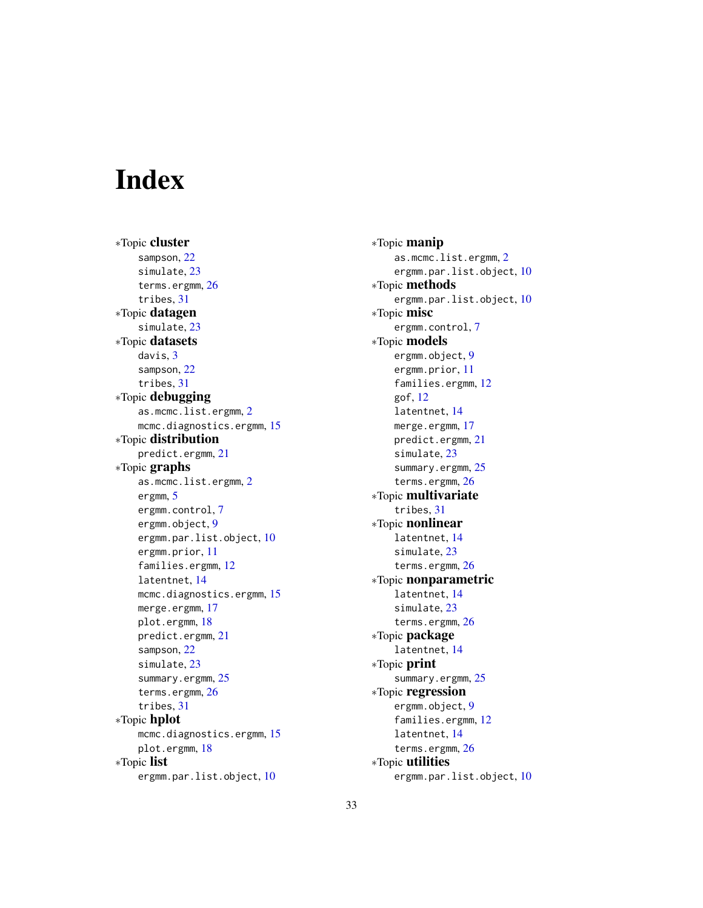# <span id="page-32-0"></span>**Index**

∗Topic cluster sampson, [22](#page-21-0) simulate, [23](#page-22-0) terms.ergmm, [26](#page-25-0) tribes, [31](#page-30-0) ∗Topic datagen simulate, [23](#page-22-0) ∗Topic datasets davis, [3](#page-2-0) sampson, [22](#page-21-0) tribes, [31](#page-30-0) ∗Topic debugging as.mcmc.list.ergmm, [2](#page-1-0) mcmc.diagnostics.ergmm, [15](#page-14-0) ∗Topic distribution predict.ergmm, [21](#page-20-0) ∗Topic graphs as.mcmc.list.ergmm, [2](#page-1-0) ergmm, [5](#page-4-0) ergmm.control, [7](#page-6-0) ergmm.object, [9](#page-8-0) ergmm.par.list.object, [10](#page-9-0) ergmm.prior, [11](#page-10-0) families.ergmm, [12](#page-11-0) latentnet, [14](#page-13-0) mcmc.diagnostics.ergmm, [15](#page-14-0) merge.ergmm, [17](#page-16-0) plot.ergmm, [18](#page-17-0) predict.ergmm, [21](#page-20-0) sampson, [22](#page-21-0) simulate, [23](#page-22-0) summary.ergmm, [25](#page-24-0) terms.ergmm, [26](#page-25-0) tribes, [31](#page-30-0) ∗Topic hplot mcmc.diagnostics.ergmm, [15](#page-14-0) plot.ergmm, [18](#page-17-0) ∗Topic list ergmm.par.list.object, [10](#page-9-0)

∗Topic manip as.mcmc.list.ergmm, [2](#page-1-0) ergmm.par.list.object, [10](#page-9-0) ∗Topic methods ergmm.par.list.object, [10](#page-9-0) ∗Topic misc ergmm.control, [7](#page-6-0) ∗Topic models ergmm.object, [9](#page-8-0) ergmm.prior, [11](#page-10-0) families.ergmm, [12](#page-11-0) gof, [12](#page-11-0) latentnet, [14](#page-13-0) merge.ergmm, [17](#page-16-0) predict.ergmm, [21](#page-20-0) simulate, [23](#page-22-0) summary.ergmm, [25](#page-24-0) terms.ergmm, [26](#page-25-0) ∗Topic multivariate tribes, [31](#page-30-0) ∗Topic nonlinear latentnet, [14](#page-13-0) simulate, [23](#page-22-0) terms.ergmm, [26](#page-25-0) ∗Topic nonparametric latentnet, [14](#page-13-0) simulate, [23](#page-22-0) terms.ergmm, [26](#page-25-0) ∗Topic package latentnet, [14](#page-13-0) ∗Topic print summary.ergmm, [25](#page-24-0) ∗Topic regression ergmm.object, [9](#page-8-0) families.ergmm, [12](#page-11-0) latentnet, [14](#page-13-0) terms.ergmm, [26](#page-25-0) ∗Topic utilities ergmm.par.list.object, [10](#page-9-0)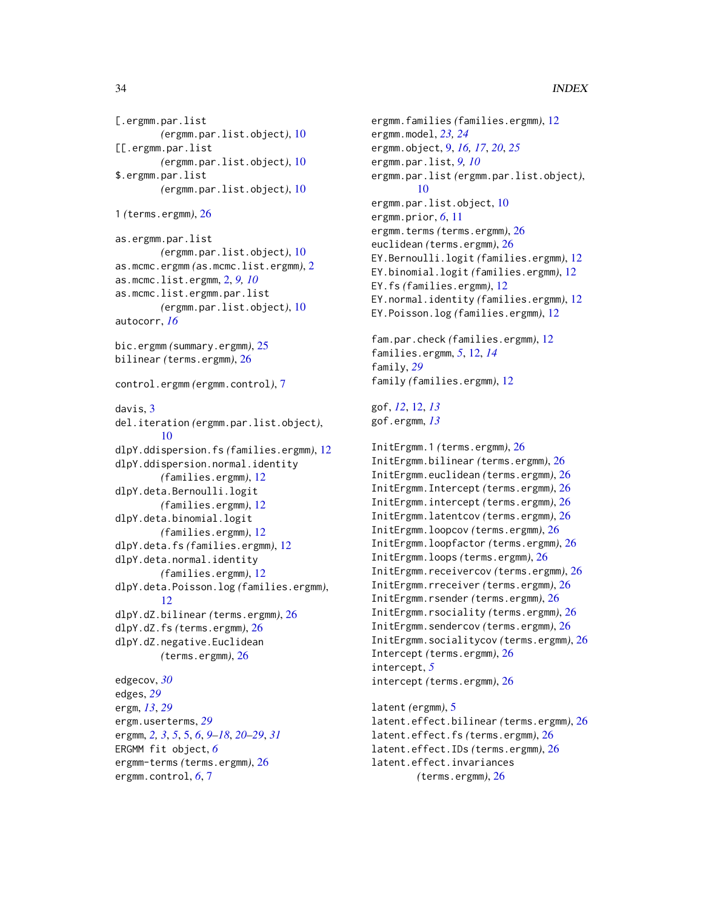```
[.ergmm.par.list
        (ergmm.par.list.object), 10
[[.ergmm.par.list
        (ergmm.par.list.object), 10
$.ergmm.par.list
        (ergmm.par.list.object), 10
1 (terms.ergmm), 26
as.ergmm.par.list
        (ergmm.par.list.object), 10
as.mcmc.ergmm (as.mcmc.list.ergmm), 2
as.mcmc.list.ergmm, 2, 9, 10
as.mcmc.list.ergmm.par.list
        (ergmm.par.list.object), 10
autocorr, 16
bic.ergmm (summary.ergmm), 25
bilinear (terms.ergmm), 26
control.ergmm (ergmm.control), 7
davis, 3
del.iteration (ergmm.par.list.object),
        10
dlpY.ddispersion.fs (families.ergmm), 12
dlpY.ddispersion.normal.identity
        (families.ergmm), 12
dlpY.deta.Bernoulli.logit
        (families.ergmm), 12
dlpY.deta.binomial.logit
        (families.ergmm), 12
dlpY.deta.fs (families.ergmm), 12
dlpY.deta.normal.identity
        (families.ergmm), 12
dlpY.deta.Poisson.log (families.ergmm),
        12
dlpY.dZ.bilinear (terms.ergmm), 26
dlpY.dZ.fs (terms.ergmm), 26
dlpY.dZ.negative.Euclidean
        (terms.ergmm), 26
edgecov, 30
edges, 29
ergm, 13, 29
ergm.userterms, 29
ergmm, 2, 3, 5, 5, 6, 9–18, 20–29, 31
ERGMM fit object, 6
ergmm-terms (terms.ergmm), 26
ergmm.control, 6, 7
```
ergmm.families *(*families.ergmm*)*, [12](#page-11-0) ergmm.model, *[23,](#page-22-0) [24](#page-23-0)* ergmm.object, [9,](#page-8-0) *[16,](#page-15-0) [17](#page-16-0)*, *[20](#page-19-0)*, *[25](#page-24-0)* ergmm.par.list, *[9,](#page-8-0) [10](#page-9-0)* ergmm.par.list *(*ergmm.par.list.object*)*, [10](#page-9-0) ergmm.par.list.object, [10](#page-9-0) ergmm.prior, *[6](#page-5-0)*, [11](#page-10-0) ergmm.terms *(*terms.ergmm*)*, [26](#page-25-0) euclidean *(*terms.ergmm*)*, [26](#page-25-0) EY.Bernoulli.logit *(*families.ergmm*)*, [12](#page-11-0) EY.binomial.logit *(*families.ergmm*)*, [12](#page-11-0) EY.fs *(*families.ergmm*)*, [12](#page-11-0) EY.normal.identity *(*families.ergmm*)*, [12](#page-11-0) EY.Poisson.log *(*families.ergmm*)*, [12](#page-11-0) fam.par.check *(*families.ergmm*)*, [12](#page-11-0) families.ergmm, *[5](#page-4-0)*, [12,](#page-11-0) *[14](#page-13-0)* family, *[29](#page-28-0)* family *(*families.ergmm*)*, [12](#page-11-0) gof, *[12](#page-11-0)*, [12,](#page-11-0) *[13](#page-12-0)* gof.ergmm, *[13](#page-12-0)* InitErgmm.1 *(*terms.ergmm*)*, [26](#page-25-0) InitErgmm.bilinear *(*terms.ergmm*)*, [26](#page-25-0) InitErgmm.euclidean *(*terms.ergmm*)*, [26](#page-25-0) InitErgmm.Intercept *(*terms.ergmm*)*, [26](#page-25-0) InitErgmm.intercept *(*terms.ergmm*)*, [26](#page-25-0) InitErgmm.latentcov *(*terms.ergmm*)*, [26](#page-25-0) InitErgmm.loopcov *(*terms.ergmm*)*, [26](#page-25-0) InitErgmm.loopfactor *(*terms.ergmm*)*, [26](#page-25-0) InitErgmm.loops *(*terms.ergmm*)*, [26](#page-25-0) InitErgmm.receivercov *(*terms.ergmm*)*, [26](#page-25-0) InitErgmm.rreceiver *(*terms.ergmm*)*, [26](#page-25-0) InitErgmm.rsender *(*terms.ergmm*)*, [26](#page-25-0) InitErgmm.rsociality *(*terms.ergmm*)*, [26](#page-25-0) InitErgmm.sendercov *(*terms.ergmm*)*, [26](#page-25-0) InitErgmm.socialitycov *(*terms.ergmm*)*, [26](#page-25-0) Intercept *(*terms.ergmm*)*, [26](#page-25-0) intercept, *[5](#page-4-0)* intercept *(*terms.ergmm*)*, [26](#page-25-0) latent *(*ergmm*)*, [5](#page-4-0) latent.effect.bilinear *(*terms.ergmm*)*, [26](#page-25-0) latent.effect.fs *(*terms.ergmm*)*, [26](#page-25-0) latent.effect.IDs *(*terms.ergmm*)*, [26](#page-25-0) latent.effect.invariances

*(*terms.ergmm*)*, [26](#page-25-0)